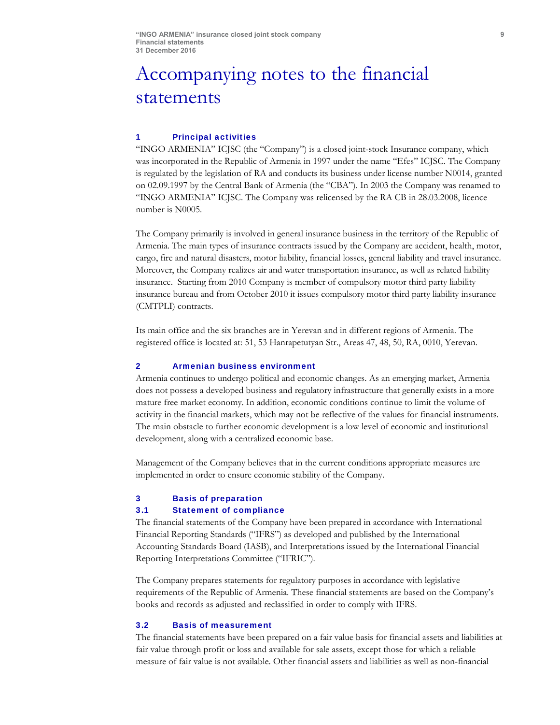# Accompanying notes to the financial statements

#### 1 Principal activities

"INGO ARMENIA" ICJSC (the "Company") is a closed joint-stock Insurance company, which was incorporated in the Republic of Armenia in 1997 under the name "Efes" ICJSC. The Company is regulated by the legislation of RA and conducts its business under license number N0014, granted on 02.09.1997 by the Central Bank of Armenia (the "CBA"). In 2003 the Company was renamed to "INGO ARMENIA" ICJSC. The Company was relicensed by the RA CB in 28.03.2008, licence number is N0005.

The Company primarily is involved in general insurance business in the territory of the Republic of Armenia. The main types of insurance contracts issued by the Company are accident, health, motor, cargo, fire and natural disasters, motor liability, financial losses, general liability and travel insurance. Moreover, the Company realizes air and water transportation insurance, as well as related liability insurance. Starting from 2010 Company is member of compulsory motor third party liability insurance bureau and from October 2010 it issues compulsory motor third party liability insurance (CMTPLI) contracts.

Its main office and the six branches are in Yerevan and in different regions of Armenia. The registered office is located at: 51, 53 Hanrapetutyan Str., Areas 47, 48, 50, RA, 0010, Yerevan.

#### 2 Armenian business environment

Armenia continues to undergo political and economic changes. As an emerging market, Armenia does not possess a developed business and regulatory infrastructure that generally exists in a more mature free market economy. In addition, economic conditions continue to limit the volume of activity in the financial markets, which may not be reflective of the values for financial instruments. The main obstacle to further economic development is a low level of economic and institutional development, along with a centralized economic base.

Management of the Company believes that in the current conditions appropriate measures are implemented in order to ensure economic stability of the Company.

### 3 Basis of preparation

#### 3.1 Statement of compliance

The financial statements of the Company have been prepared in accordance with International Financial Reporting Standards ("IFRS") as developed and published by the International Accounting Standards Board (IASB), and Interpretations issued by the International Financial Reporting Interpretations Committee ("IFRIC").

The Company prepares statements for regulatory purposes in accordance with legislative requirements of the Republic of Armenia. These financial statements are based on the Company's books and records as adjusted and reclassified in order to comply with IFRS.

### 3.2 Basis of measurement

The financial statements have been prepared on a fair value basis for financial assets and liabilities at fair value through profit or loss and available for sale assets, except those for which a reliable measure of fair value is not available. Other financial assets and liabilities as well as non-financial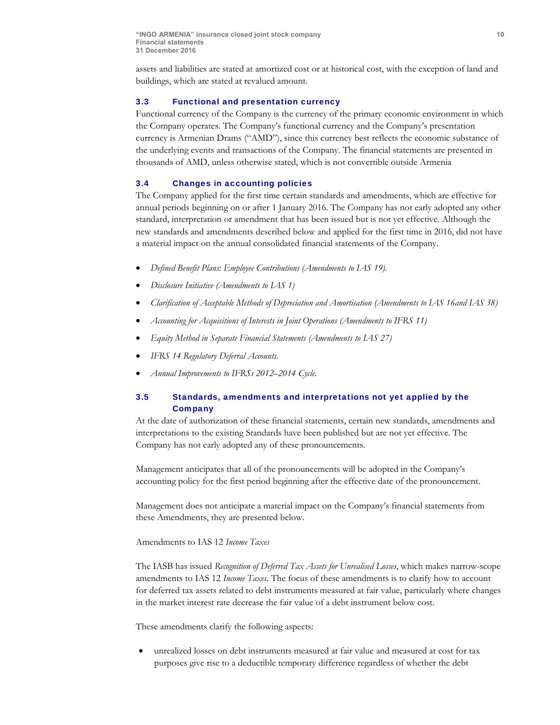assets and liabilities are stated at amortized cost or at historical cost, with the exception of land and buildings, which are stated at revalued amount.

#### 3.3 Functional and presentation currency

Functional currency of the Company is the currency of the primary economic environment in which the Company operates. The Company's functional currency and the Company's presentation currency is Armenian Drams ("AMD"), since this currency best reflects the economic substance of the underlying events and transactions of the Company. The financial statements are presented in thousands of AMD, unless otherwise stated, which is not convertible outside Armenia

#### 3.4 Changes in accounting policies

The Company applied for the first time certain standards and amendments, which are effective for annual periods beginning on or after 1 January 2016. The Company has not early adopted any other standard, interpretation or amendment that has been issued but is not yet effective. Although the new standards and amendments described below and applied for the first time in 2016, did not have a material impact on the annual consolidated financial statements of the Company.

- *Defined Benefit Plans: Employee Contributions (Amendments to IAS 19).*
- *Disclosure Initiative (Amendments to IAS 1)*
- *Clarification of Acceptable Methods of Depreciation and Amortisation (Amendments to IAS 16and IAS 38)*
- *Accounting for Acquisitions of Interests in Joint Operations (Amendments to IFRS 11)*
- *Equity Method in Separate Financial Statements (Amendments to IAS 27)*
- *IFRS 14 Regulatory Deferral Accounts.*
- *Annual Improvements to IFRSs 2012–2014 Cycle.*

# 3.5 Standards, amendments and interpretations not yet applied by the **Company**

At the date of authorization of these financial statements, certain new standards, amendments and interpretations to the existing Standards have been published but are not yet effective. The Company has not early adopted any of these pronouncements.

Management anticipates that all of the pronouncements will be adopted in the Company's accounting policy for the first period beginning after the effective date of the pronouncement.

Management does not anticipate a material impact on the Company's financial statements from these Amendments, they are presented below.

Amendments to IAS 12 *Income Taxes* 

The IASB has issued *Recognition of Deferred Tax Assets for Unrealised Losses*, which makes narrow-scope amendments to IAS 12 *Income Taxes*. The focus of these amendments is to clarify how to account for deferred tax assets related to debt instruments measured at fair value, particularly where changes in the market interest rate decrease the fair value of a debt instrument below cost.

These amendments clarify the following aspects:

 unrealized losses on debt instruments measured at fair value and measured at cost for tax purposes give rise to a deductible temporary difference regardless of whether the debt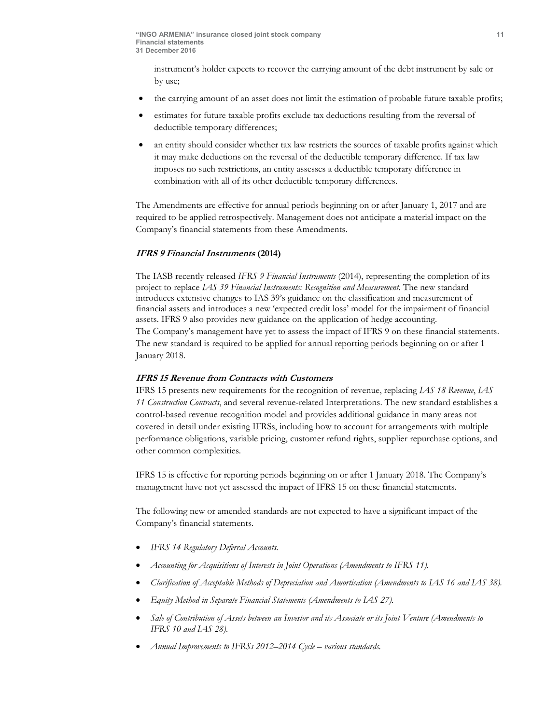instrument's holder expects to recover the carrying amount of the debt instrument by sale or by use;

- the carrying amount of an asset does not limit the estimation of probable future taxable profits;
- estimates for future taxable profits exclude tax deductions resulting from the reversal of deductible temporary differences;
- an entity should consider whether tax law restricts the sources of taxable profits against which it may make deductions on the reversal of the deductible temporary difference. If tax law imposes no such restrictions, an entity assesses a deductible temporary difference in combination with all of its other deductible temporary differences.

The Amendments are effective for annual periods beginning on or after January 1, 2017 and are required to be applied retrospectively. Management does not anticipate a material impact on the Company's financial statements from these Amendments.

# **IFRS 9 Financial Instruments (2014)**

The IASB recently released *IFRS 9 Financial Instruments* (2014), representing the completion of its project to replace *IAS 39 Financial Instruments: Recognition and Measurement.* The new standard introduces extensive changes to IAS 39's guidance on the classification and measurement of financial assets and introduces a new 'expected credit loss' model for the impairment of financial assets. IFRS 9 also provides new guidance on the application of hedge accounting.

The Company's management have yet to assess the impact of IFRS 9 on these financial statements. The new standard is required to be applied for annual reporting periods beginning on or after 1 January 2018.

### **IFRS 15 Revenue from Contracts with Customers**

IFRS 15 presents new requirements for the recognition of revenue, replacing *IAS 18 Revenue*, *IAS 11 Construction Contracts*, and several revenue-related Interpretations. The new standard establishes a control-based revenue recognition model and provides additional guidance in many areas not covered in detail under existing IFRSs, including how to account for arrangements with multiple performance obligations, variable pricing, customer refund rights, supplier repurchase options, and other common complexities.

IFRS 15 is effective for reporting periods beginning on or after 1 January 2018. The Company's management have not yet assessed the impact of IFRS 15 on these financial statements.

The following new or amended standards are not expected to have a significant impact of the Company's financial statements.

- *IFRS 14 Regulatory Deferral Accounts.*
- *Accounting for Acquisitions of Interests in Joint Operations (Amendments to IFRS 11).*
- *Clarification of Acceptable Methods of Depreciation and Amortisation (Amendments to IAS 16 and IAS 38).*
- *Equity Method in Separate Financial Statements (Amendments to IAS 27).*
- *Sale of Contribution of Assets between an Investor and its Associate or its Joint Venture (Amendments to IFRS 10 and IAS 28).*
- *Annual Improvements to IFRSs 2012–2014 Cycle various standards.*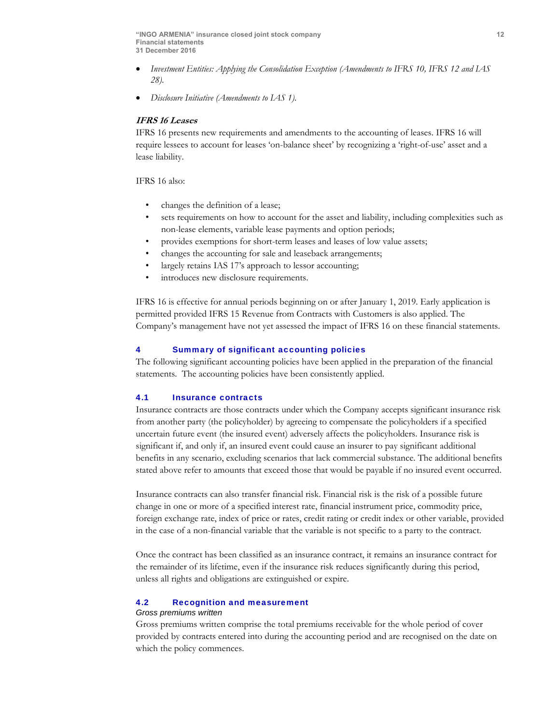- *Investment Entities: Applying the Consolidation Exception (Amendments to IFRS 10, IFRS 12 and IAS 28).*
- *Disclosure Initiative (Amendments to IAS 1).*

# **IFRS 16 Leases**

IFRS 16 presents new requirements and amendments to the accounting of leases. IFRS 16 will require lessees to account for leases 'on-balance sheet' by recognizing a 'right-of-use' asset and a lease liability.

IFRS 16 also:

- changes the definition of a lease;
- sets requirements on how to account for the asset and liability, including complexities such as non-lease elements, variable lease payments and option periods;
- provides exemptions for short-term leases and leases of low value assets;
- changes the accounting for sale and leaseback arrangements;
- largely retains IAS 17's approach to lessor accounting;
- introduces new disclosure requirements.

IFRS 16 is effective for annual periods beginning on or after January 1, 2019. Early application is permitted provided IFRS 15 Revenue from Contracts with Customers is also applied. The Company's management have not yet assessed the impact of IFRS 16 on these financial statements.

### 4 Summary of significant accounting policies

The following significant accounting policies have been applied in the preparation of the financial statements. The accounting policies have been consistently applied.

# 4.1 Insurance contracts

Insurance contracts are those contracts under which the Company accepts significant insurance risk from another party (the policyholder) by agreeing to compensate the policyholders if a specified uncertain future event (the insured event) adversely affects the policyholders. Insurance risk is significant if, and only if, an insured event could cause an insurer to pay significant additional benefits in any scenario, excluding scenarios that lack commercial substance. The additional benefits stated above refer to amounts that exceed those that would be payable if no insured event occurred.

Insurance contracts can also transfer financial risk. Financial risk is the risk of a possible future change in one or more of a specified interest rate, financial instrument price, commodity price, foreign exchange rate, index of price or rates, credit rating or credit index or other variable, provided in the case of a non-financial variable that the variable is not specific to a party to the contract.

Once the contract has been classified as an insurance contract, it remains an insurance contract for the remainder of its lifetime, even if the insurance risk reduces significantly during this period, unless all rights and obligations are extinguished or expire.

# 4.2 Recognition and measurement

#### *Gross premiums written*

Gross premiums written comprise the total premiums receivable for the whole period of cover provided by contracts entered into during the accounting period and are recognised on the date on which the policy commences.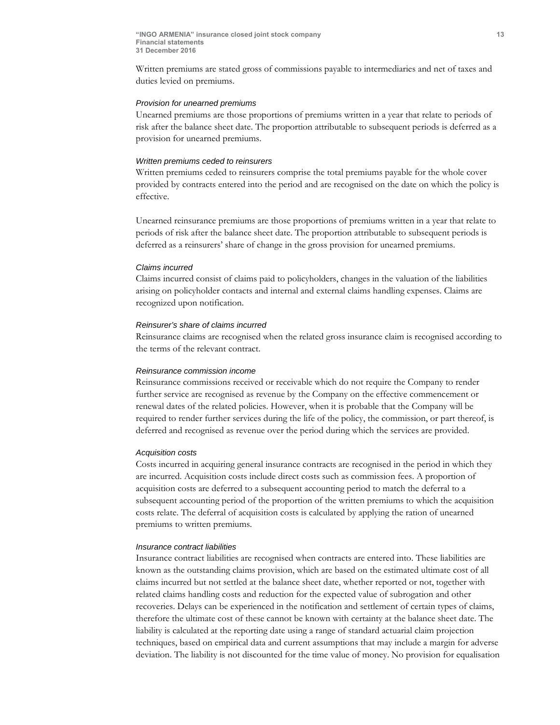Written premiums are stated gross of commissions payable to intermediaries and net of taxes and duties levied on premiums.

#### *Provision for unearned premiums*

Unearned premiums are those proportions of premiums written in a year that relate to periods of risk after the balance sheet date. The proportion attributable to subsequent periods is deferred as a provision for unearned premiums.

#### *Written premiums ceded to reinsurers*

Written premiums ceded to reinsurers comprise the total premiums payable for the whole cover provided by contracts entered into the period and are recognised on the date on which the policy is effective.

Unearned reinsurance premiums are those proportions of premiums written in a year that relate to periods of risk after the balance sheet date. The proportion attributable to subsequent periods is deferred as a reinsurers' share of change in the gross provision for unearned premiums.

#### *Claims incurred*

Claims incurred consist of claims paid to policyholders, changes in the valuation of the liabilities arising on policyholder contacts and internal and external claims handling expenses. Claims are recognized upon notification.

#### *Reinsurer's share of claims incurred*

Reinsurance claims are recognised when the related gross insurance claim is recognised according to the terms of the relevant contract.

#### *Reinsurance commission income*

Reinsurance commissions received or receivable which do not require the Company to render further service are recognised as revenue by the Company on the effective commencement or renewal dates of the related policies. However, when it is probable that the Company will be required to render further services during the life of the policy, the commission, or part thereof, is deferred and recognised as revenue over the period during which the services are provided.

#### *Acquisition costs*

Costs incurred in acquiring general insurance contracts are recognised in the period in which they are incurred. Acquisition costs include direct costs such as commission fees. A proportion of acquisition costs are deferred to a subsequent accounting period to match the deferral to a subsequent accounting period of the proportion of the written premiums to which the acquisition costs relate. The deferral of acquisition costs is calculated by applying the ration of unearned premiums to written premiums.

#### *Insurance contract liabilities*

Insurance contract liabilities are recognised when contracts are entered into. These liabilities are known as the outstanding claims provision, which are based on the estimated ultimate cost of all claims incurred but not settled at the balance sheet date, whether reported or not, together with related claims handling costs and reduction for the expected value of subrogation and other recoveries. Delays can be experienced in the notification and settlement of certain types of claims, therefore the ultimate cost of these cannot be known with certainty at the balance sheet date. The liability is calculated at the reporting date using a range of standard actuarial claim projection techniques, based on empirical data and current assumptions that may include a margin for adverse deviation. The liability is not discounted for the time value of money. No provision for equalisation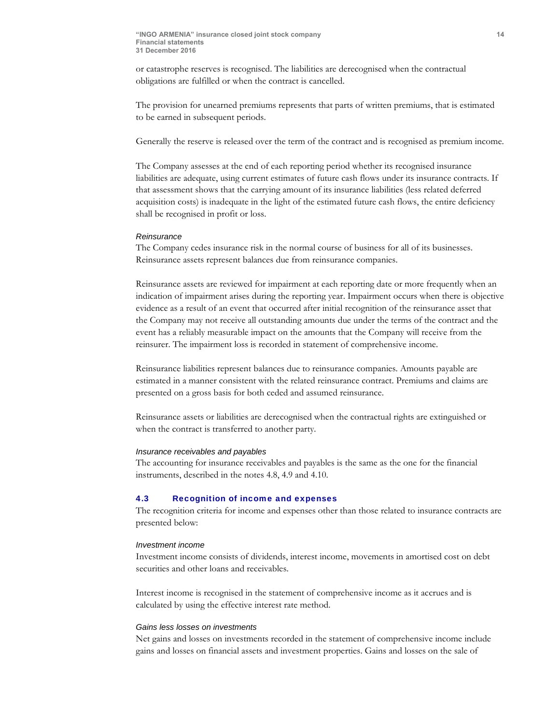or catastrophe reserves is recognised. The liabilities are derecognised when the contractual obligations are fulfilled or when the contract is cancelled.

The provision for unearned premiums represents that parts of written premiums, that is estimated to be earned in subsequent periods.

Generally the reserve is released over the term of the contract and is recognised as premium income.

The Company assesses at the end of each reporting period whether its recognised insurance liabilities are adequate, using current estimates of future cash flows under its insurance contracts. If that assessment shows that the carrying amount of its insurance liabilities (less related deferred acquisition costs) is inadequate in the light of the estimated future cash flows, the entire deficiency shall be recognised in profit or loss.

#### *Reinsurance*

The Company cedes insurance risk in the normal course of business for all of its businesses. Reinsurance assets represent balances due from reinsurance companies.

Reinsurance assets are reviewed for impairment at each reporting date or more frequently when an indication of impairment arises during the reporting year. Impairment occurs when there is objective evidence as a result of an event that occurred after initial recognition of the reinsurance asset that the Company may not receive all outstanding amounts due under the terms of the contract and the event has a reliably measurable impact on the amounts that the Company will receive from the reinsurer. The impairment loss is recorded in statement of comprehensive income.

Reinsurance liabilities represent balances due to reinsurance companies. Amounts payable are estimated in a manner consistent with the related reinsurance contract. Premiums and claims are presented on a gross basis for both ceded and assumed reinsurance.

Reinsurance assets or liabilities are derecognised when the contractual rights are extinguished or when the contract is transferred to another party.

#### *Insurance receivables and payables*

The accounting for insurance receivables and payables is the same as the one for the financial instruments, described in the notes 4.8, 4.9 and 4.10.

# 4.3 Recognition of income and expenses

The recognition criteria for income and expenses other than those related to insurance contracts are presented below:

#### *Investment income*

Investment income consists of dividends, interest income, movements in amortised cost on debt securities and other loans and receivables.

Interest income is recognised in the statement of comprehensive income as it accrues and is calculated by using the effective interest rate method.

#### *Gains less losses on investments*

Net gains and losses on investments recorded in the statement of comprehensive income include gains and losses on financial assets and investment properties. Gains and losses on the sale of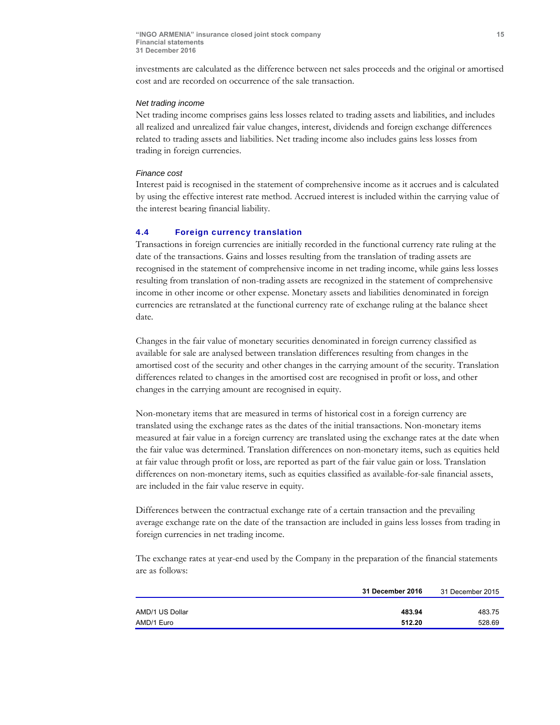investments are calculated as the difference between net sales proceeds and the original or amortised cost and are recorded on occurrence of the sale transaction.

#### *Net trading income*

Net trading income comprises gains less losses related to trading assets and liabilities, and includes all realized and unrealized fair value changes, interest, dividends and foreign exchange differences related to trading assets and liabilities. Net trading income also includes gains less losses from trading in foreign currencies.

#### *Finance cost*

Interest paid is recognised in the statement of comprehensive income as it accrues and is calculated by using the effective interest rate method. Accrued interest is included within the carrying value of the interest bearing financial liability.

#### 4.4 Foreign currency translation

Transactions in foreign currencies are initially recorded in the functional currency rate ruling at the date of the transactions. Gains and losses resulting from the translation of trading assets are recognised in the statement of comprehensive income in net trading income, while gains less losses resulting from translation of non-trading assets are recognized in the statement of comprehensive income in other income or other expense. Monetary assets and liabilities denominated in foreign currencies are retranslated at the functional currency rate of exchange ruling at the balance sheet date.

Changes in the fair value of monetary securities denominated in foreign currency classified as available for sale are analysed between translation differences resulting from changes in the amortised cost of the security and other changes in the carrying amount of the security. Translation differences related to changes in the amortised cost are recognised in profit or loss, and other changes in the carrying amount are recognised in equity.

Non-monetary items that are measured in terms of historical cost in a foreign currency are translated using the exchange rates as the dates of the initial transactions. Non-monetary items measured at fair value in a foreign currency are translated using the exchange rates at the date when the fair value was determined. Translation differences on non-monetary items, such as equities held at fair value through profit or loss, are reported as part of the fair value gain or loss. Translation differences on non-monetary items, such as equities classified as available-for-sale financial assets, are included in the fair value reserve in equity.

Differences between the contractual exchange rate of a certain transaction and the prevailing average exchange rate on the date of the transaction are included in gains less losses from trading in foreign currencies in net trading income.

The exchange rates at year-end used by the Company in the preparation of the financial statements are as follows:

|                 | 31 December 2016 | 31 December 2015 |
|-----------------|------------------|------------------|
|                 |                  |                  |
| AMD/1 US Dollar | 483.94           | 483.75           |
| AMD/1 Euro      | 512.20           | 528.69           |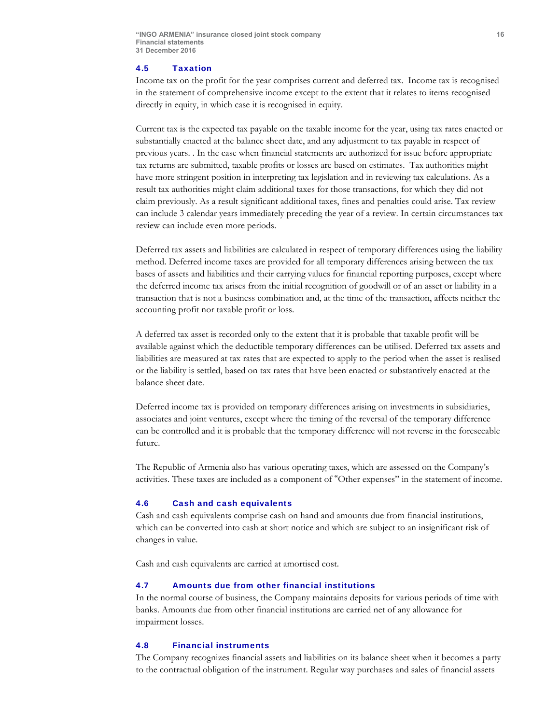#### 4.5 Taxation

Income tax on the profit for the year comprises current and deferred tax. Income tax is recognised in the statement of comprehensive income except to the extent that it relates to items recognised directly in equity, in which case it is recognised in equity.

Current tax is the expected tax payable on the taxable income for the year, using tax rates enacted or substantially enacted at the balance sheet date, and any adjustment to tax payable in respect of previous years. . In the case when financial statements are authorized for issue before appropriate tax returns are submitted, taxable profits or losses are based on estimates. Tax authorities might have more stringent position in interpreting tax legislation and in reviewing tax calculations. As a result tax authorities might claim additional taxes for those transactions, for which they did not claim previously. As a result significant additional taxes, fines and penalties could arise. Tax review can include 3 calendar years immediately preceding the year of a review. In certain circumstances tax review can include even more periods.

Deferred tax assets and liabilities are calculated in respect of temporary differences using the liability method. Deferred income taxes are provided for all temporary differences arising between the tax bases of assets and liabilities and their carrying values for financial reporting purposes, except where the deferred income tax arises from the initial recognition of goodwill or of an asset or liability in a transaction that is not a business combination and, at the time of the transaction, affects neither the accounting profit nor taxable profit or loss.

A deferred tax asset is recorded only to the extent that it is probable that taxable profit will be available against which the deductible temporary differences can be utilised. Deferred tax assets and liabilities are measured at tax rates that are expected to apply to the period when the asset is realised or the liability is settled, based on tax rates that have been enacted or substantively enacted at the balance sheet date.

Deferred income tax is provided on temporary differences arising on investments in subsidiaries, associates and joint ventures, except where the timing of the reversal of the temporary difference can be controlled and it is probable that the temporary difference will not reverse in the foreseeable future.

The Republic of Armenia also has various operating taxes, which are assessed on the Company's activities. These taxes are included as a component of "Other expenses" in the statement of income.

#### 4.6 Cash and cash equivalents

Cash and cash equivalents comprise cash on hand and amounts due from financial institutions, which can be converted into cash at short notice and which are subject to an insignificant risk of changes in value.

Cash and cash equivalents are carried at amortised cost.

# 4.7 Amounts due from other financial institutions

In the normal course of business, the Company maintains deposits for various periods of time with banks. Amounts due from other financial institutions are carried net of any allowance for impairment losses.

#### 4.8 Financial instruments

The Company recognizes financial assets and liabilities on its balance sheet when it becomes a party to the contractual obligation of the instrument. Regular way purchases and sales of financial assets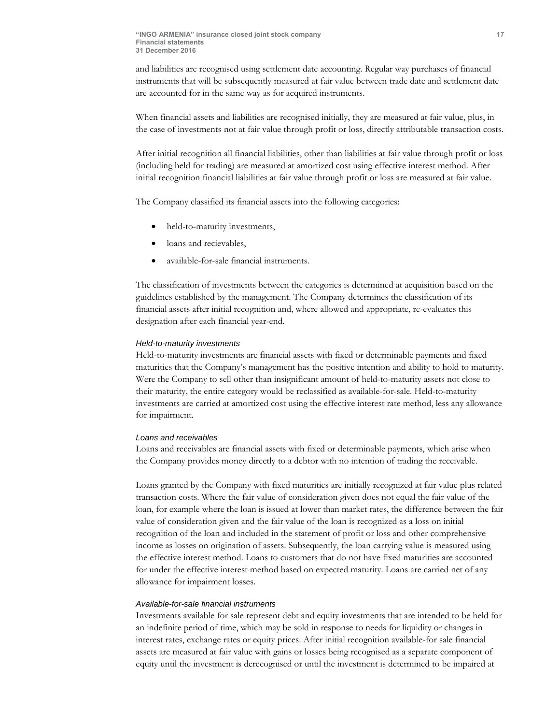and liabilities are recognised using settlement date accounting. Regular way purchases of financial instruments that will be subsequently measured at fair value between trade date and settlement date are accounted for in the same way as for acquired instruments.

When financial assets and liabilities are recognised initially, they are measured at fair value, plus, in the case of investments not at fair value through profit or loss, directly attributable transaction costs.

After initial recognition all financial liabilities, other than liabilities at fair value through profit or loss (including held for trading) are measured at amortized cost using effective interest method. After initial recognition financial liabilities at fair value through profit or loss are measured at fair value.

The Company classified its financial assets into the following categories:

- held-to-maturity investments,
- loans and recievables,
- available-for-sale financial instruments.

The classification of investments between the categories is determined at acquisition based on the guidelines established by the management. The Company determines the classification of its financial assets after initial recognition and, where allowed and appropriate, re-evaluates this designation after each financial year-end.

#### *Held-to-maturity investments*

Held-to-maturity investments are financial assets with fixed or determinable payments and fixed maturities that the Company's management has the positive intention and ability to hold to maturity. Were the Company to sell other than insignificant amount of held-to-maturity assets not close to their maturity, the entire category would be reclassified as available-for-sale. Held-to-maturity investments are carried at amortized cost using the effective interest rate method, less any allowance for impairment.

#### *Loans and receivables*

Loans and receivables are financial assets with fixed or determinable payments, which arise when the Company provides money directly to a debtor with no intention of trading the receivable.

Loans granted by the Company with fixed maturities are initially recognized at fair value plus related transaction costs. Where the fair value of consideration given does not equal the fair value of the loan, for example where the loan is issued at lower than market rates, the difference between the fair value of consideration given and the fair value of the loan is recognized as a loss on initial recognition of the loan and included in the statement of profit or loss and other comprehensive income as losses on origination of assets. Subsequently, the loan carrying value is measured using the effective interest method. Loans to customers that do not have fixed maturities are accounted for under the effective interest method based on expected maturity. Loans are carried net of any allowance for impairment losses.

#### *Available-for-sale financial instruments*

Investments available for sale represent debt and equity investments that are intended to be held for an indefinite period of time, which may be sold in response to needs for liquidity or changes in interest rates, exchange rates or equity prices. After initial recognition available-for sale financial assets are measured at fair value with gains or losses being recognised as a separate component of equity until the investment is derecognised or until the investment is determined to be impaired at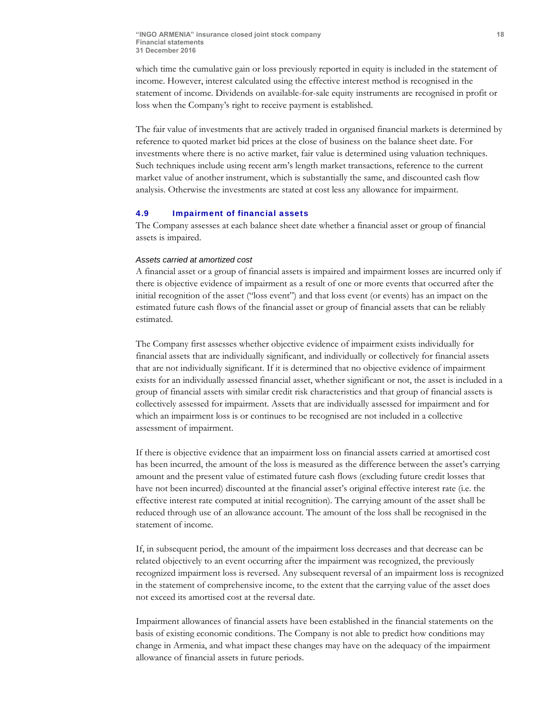which time the cumulative gain or loss previously reported in equity is included in the statement of income. However, interest calculated using the effective interest method is recognised in the statement of income. Dividends on available-for-sale equity instruments are recognised in profit or loss when the Company's right to receive payment is established.

The fair value of investments that are actively traded in organised financial markets is determined by reference to quoted market bid prices at the close of business on the balance sheet date. For investments where there is no active market, fair value is determined using valuation techniques. Such techniques include using recent arm's length market transactions, reference to the current market value of another instrument, which is substantially the same, and discounted cash flow analysis. Otherwise the investments are stated at cost less any allowance for impairment.

### 4.9 Impairment of financial assets

The Company assesses at each balance sheet date whether a financial asset or group of financial assets is impaired.

#### *Assets carried at amortized cost*

A financial asset or a group of financial assets is impaired and impairment losses are incurred only if there is objective evidence of impairment as a result of one or more events that occurred after the initial recognition of the asset ("loss event") and that loss event (or events) has an impact on the estimated future cash flows of the financial asset or group of financial assets that can be reliably estimated.

The Company first assesses whether objective evidence of impairment exists individually for financial assets that are individually significant, and individually or collectively for financial assets that are not individually significant. If it is determined that no objective evidence of impairment exists for an individually assessed financial asset, whether significant or not, the asset is included in a group of financial assets with similar credit risk characteristics and that group of financial assets is collectively assessed for impairment. Assets that are individually assessed for impairment and for which an impairment loss is or continues to be recognised are not included in a collective assessment of impairment.

If there is objective evidence that an impairment loss on financial assets carried at amortised cost has been incurred, the amount of the loss is measured as the difference between the asset's carrying amount and the present value of estimated future cash flows (excluding future credit losses that have not been incurred) discounted at the financial asset's original effective interest rate (i.e. the effective interest rate computed at initial recognition). The carrying amount of the asset shall be reduced through use of an allowance account. The amount of the loss shall be recognised in the statement of income.

If, in subsequent period, the amount of the impairment loss decreases and that decrease can be related objectively to an event occurring after the impairment was recognized, the previously recognized impairment loss is reversed. Any subsequent reversal of an impairment loss is recognized in the statement of comprehensive income, to the extent that the carrying value of the asset does not exceed its amortised cost at the reversal date.

Impairment allowances of financial assets have been established in the financial statements on the basis of existing economic conditions. The Company is not able to predict how conditions may change in Armenia, and what impact these changes may have on the adequacy of the impairment allowance of financial assets in future periods.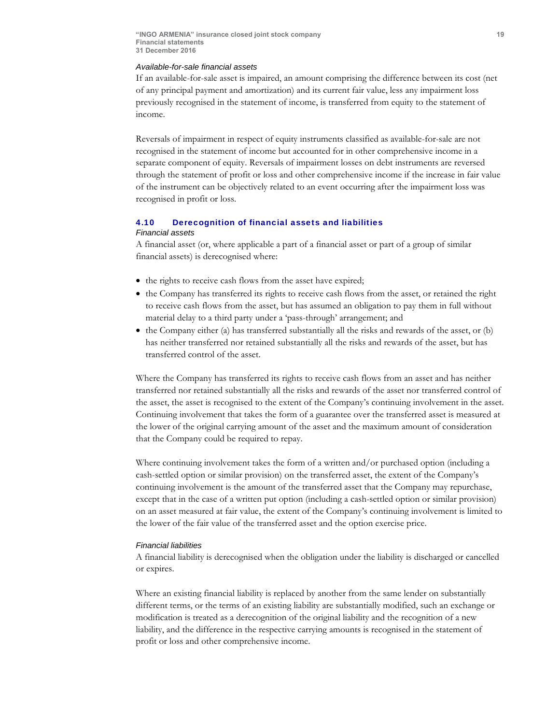#### *Available-for-sale financial assets*

If an available-for-sale asset is impaired, an amount comprising the difference between its cost (net of any principal payment and amortization) and its current fair value, less any impairment loss previously recognised in the statement of income, is transferred from equity to the statement of income.

Reversals of impairment in respect of equity instruments classified as available-for-sale are not recognised in the statement of income but accounted for in other comprehensive income in a separate component of equity. Reversals of impairment losses on debt instruments are reversed through the statement of profit or loss and other comprehensive income if the increase in fair value of the instrument can be objectively related to an event occurring after the impairment loss was recognised in profit or loss.

# 4.10 Derecognition of financial assets and liabilities

#### *Financial assets*

A financial asset (or, where applicable a part of a financial asset or part of a group of similar financial assets) is derecognised where:

- the rights to receive cash flows from the asset have expired;
- the Company has transferred its rights to receive cash flows from the asset, or retained the right to receive cash flows from the asset, but has assumed an obligation to pay them in full without material delay to a third party under a 'pass-through' arrangement; and
- $\bullet$  the Company either (a) has transferred substantially all the risks and rewards of the asset, or (b) has neither transferred nor retained substantially all the risks and rewards of the asset, but has transferred control of the asset.

Where the Company has transferred its rights to receive cash flows from an asset and has neither transferred nor retained substantially all the risks and rewards of the asset nor transferred control of the asset, the asset is recognised to the extent of the Company's continuing involvement in the asset. Continuing involvement that takes the form of a guarantee over the transferred asset is measured at the lower of the original carrying amount of the asset and the maximum amount of consideration that the Company could be required to repay.

Where continuing involvement takes the form of a written and/or purchased option (including a cash-settled option or similar provision) on the transferred asset, the extent of the Company's continuing involvement is the amount of the transferred asset that the Company may repurchase, except that in the case of a written put option (including a cash-settled option or similar provision) on an asset measured at fair value, the extent of the Company's continuing involvement is limited to the lower of the fair value of the transferred asset and the option exercise price.

#### *Financial liabilities*

A financial liability is derecognised when the obligation under the liability is discharged or cancelled or expires.

Where an existing financial liability is replaced by another from the same lender on substantially different terms, or the terms of an existing liability are substantially modified, such an exchange or modification is treated as a derecognition of the original liability and the recognition of a new liability, and the difference in the respective carrying amounts is recognised in the statement of profit or loss and other comprehensive income.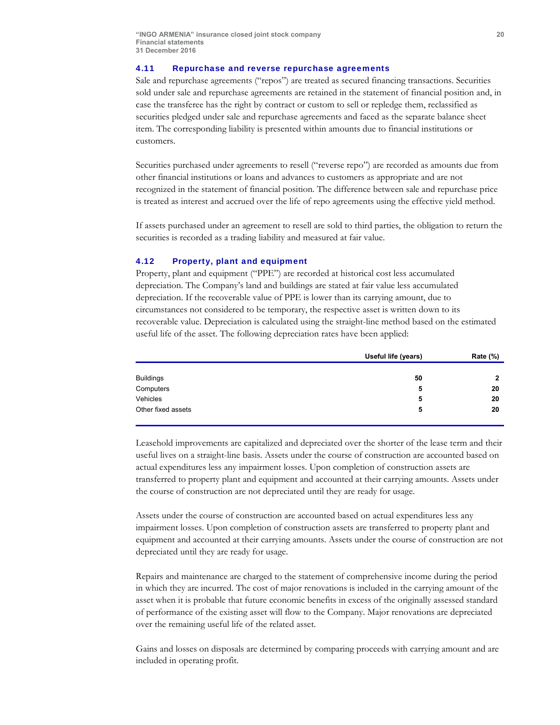#### 4.11 Repurchase and reverse repurchase agreements

Sale and repurchase agreements ("repos") are treated as secured financing transactions. Securities sold under sale and repurchase agreements are retained in the statement of financial position and, in case the transferee has the right by contract or custom to sell or repledge them, reclassified as securities pledged under sale and repurchase agreements and faced as the separate balance sheet item. The corresponding liability is presented within amounts due to financial institutions or customers.

Securities purchased under agreements to resell ("reverse repo") are recorded as amounts due from other financial institutions or loans and advances to customers as appropriate and are not recognized in the statement of financial position. The difference between sale and repurchase price is treated as interest and accrued over the life of repo agreements using the effective yield method.

If assets purchased under an agreement to resell are sold to third parties, the obligation to return the securities is recorded as a trading liability and measured at fair value.

#### 4.12 Property, plant and equipment

Property, plant and equipment ("PPE") are recorded at historical cost less accumulated depreciation. The Company's land and buildings are stated at fair value less accumulated depreciation. If the recoverable value of PPE is lower than its carrying amount, due to circumstances not considered to be temporary, the respective asset is written down to its recoverable value. Depreciation is calculated using the straight-line method based on the estimated useful life of the asset. The following depreciation rates have been applied:

|                    | Useful life (years) | Rate (%) |
|--------------------|---------------------|----------|
|                    |                     |          |
| <b>Buildings</b>   | 50                  | 2        |
| Computers          | 5                   | 20       |
| Vehicles           | 5                   | 20       |
| Other fixed assets | 5                   | 20       |

Leasehold improvements are capitalized and depreciated over the shorter of the lease term and their useful lives on a straight-line basis. Assets under the course of construction are accounted based on actual expenditures less any impairment losses. Upon completion of construction assets are transferred to property plant and equipment and accounted at their carrying amounts. Assets under the course of construction are not depreciated until they are ready for usage.

Assets under the course of construction are accounted based on actual expenditures less any impairment losses. Upon completion of construction assets are transferred to property plant and equipment and accounted at their carrying amounts. Assets under the course of construction are not depreciated until they are ready for usage.

Repairs and maintenance are charged to the statement of comprehensive income during the period in which they are incurred. The cost of major renovations is included in the carrying amount of the asset when it is probable that future economic benefits in excess of the originally assessed standard of performance of the existing asset will flow to the Company. Major renovations are depreciated over the remaining useful life of the related asset.

Gains and losses on disposals are determined by comparing proceeds with carrying amount and are included in operating profit.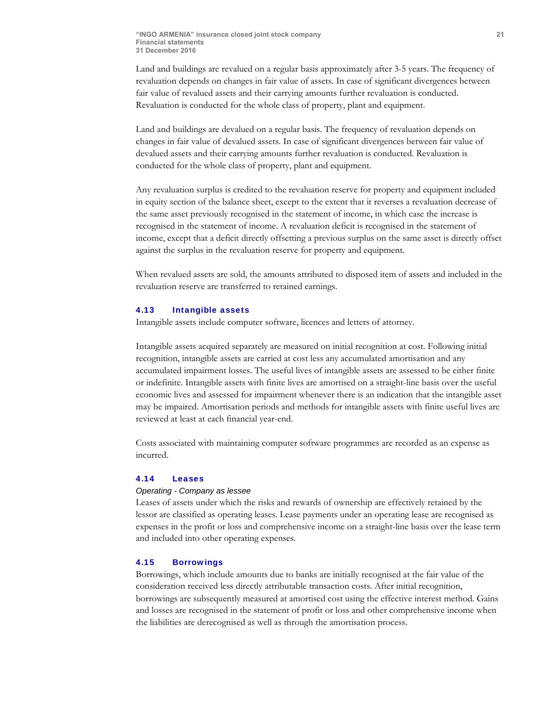Land and buildings are revalued on a regular basis approximately after 3-5 years. The frequency of revaluation depends on changes in fair value of assets. In case of significant divergences between fair value of revalued assets and their carrying amounts further revaluation is conducted. Revaluation is conducted for the whole class of property, plant and equipment.

Land and buildings are devalued on a regular basis. The frequency of revaluation depends on changes in fair value of devalued assets. In case of significant divergences between fair value of devalued assets and their carrying amounts further revaluation is conducted. Revaluation is conducted for the whole class of property, plant and equipment.

Any revaluation surplus is credited to the revaluation reserve for property and equipment included in equity section of the balance sheet, except to the extent that it reverses a revaluation decrease of the same asset previously recognised in the statement of income, in which case the increase is recognised in the statement of income. A revaluation deficit is recognised in the statement of income, except that a deficit directly offsetting a previous surplus on the same asset is directly offset against the surplus in the revaluation reserve for property and equipment.

When revalued assets are sold, the amounts attributed to disposed item of assets and included in the revaluation reserve are transferred to retained earnings.

#### 4.13 Intangible assets

Intangible assets include computer software, licences and letters of attorney.

Intangible assets acquired separately are measured on initial recognition at cost. Following initial recognition, intangible assets are carried at cost less any accumulated amortisation and any accumulated impairment losses. The useful lives of intangible assets are assessed to be either finite or indefinite. Intangible assets with finite lives are amortised on a straight-line basis over the useful economic lives and assessed for impairment whenever there is an indication that the intangible asset may be impaired. Amortisation periods and methods for intangible assets with finite useful lives are reviewed at least at each financial year-end.

Costs associated with maintaining computer software programmes are recorded as an expense as incurred.

### 4.14 Leases

#### *Operating - Company as lessee*

Leases of assets under which the risks and rewards of ownership are effectively retained by the lessor are classified as operating leases. Lease payments under an operating lease are recognised as expenses in the profit or loss and comprehensive income on a straight-line basis over the lease term and included into other operating expenses.

#### 4.15 Borrowings

Borrowings, which include amounts due to banks are initially recognised at the fair value of the consideration received less directly attributable transaction costs. After initial recognition, borrowings are subsequently measured at amortised cost using the effective interest method. Gains and losses are recognised in the statement of profit or loss and other comprehensive income when the liabilities are derecognised as well as through the amortisation process.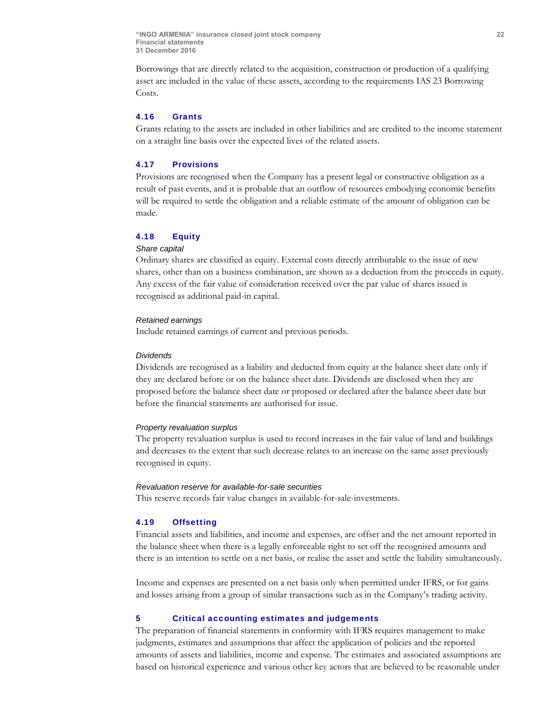Borrowings that are directly related to the acquisition, construction or production of a qualifying asset are included in the value of these assets, according to the requirements IAS 23 Borrowing Costs.

# 4.16 Grants

Grants relating to the assets are included in other liabilities and are credited to the income statement on a straight line basis over the expected lives of the related assets.

#### 4.17 Provisions

Provisions are recognised when the Company has a present legal or constructive obligation as a result of past events, and it is probable that an outflow of resources embodying economic benefits will be required to settle the obligation and a reliable estimate of the amount of obligation can be made.

### 4.18 Equity

#### *Share capital*

Ordinary shares are classified as equity. External costs directly attributable to the issue of new shares, other than on a business combination, are shown as a deduction from the proceeds in equity. Any excess of the fair value of consideration received over the par value of shares issued is recognised as additional paid-in capital.

### *Retained earnings*

Include retained earnings of current and previous periods.

#### *Dividends*

Dividends are recognised as a liability and deducted from equity at the balance sheet date only if they are declared before or on the balance sheet date. Dividends are disclosed when they are proposed before the balance sheet date or proposed or declared after the balance sheet date but before the financial statements are authorised for issue.

#### *Property revaluation surplus*

The property revaluation surplus is used to record increases in the fair value of land and buildings and decreases to the extent that such decrease relates to an increase on the same asset previously recognised in equity.

#### *Revaluation reserve for available-for-sale securities*

This reserve records fair value changes in available-for-sale-investments.

#### 4.19 Offsetting

Financial assets and liabilities, and income and expenses, are offset and the net amount reported in the balance sheet when there is a legally enforceable right to set off the recognised amounts and there is an intention to settle on a net basis, or realise the asset and settle the liability simultaneously.

Income and expenses are presented on a net basis only when permitted under IFRS, or for gains and losses arising from a group of similar transactions such as in the Company's trading activity.

#### 5 Critical accounting estimates and judgements

The preparation of financial statements in conformity with IFRS requires management to make judgments, estimates and assumptions that affect the application of policies and the reported amounts of assets and liabilities, income and expense. The estimates and associated assumptions are based on historical experience and various other key actors that are believed to be reasonable under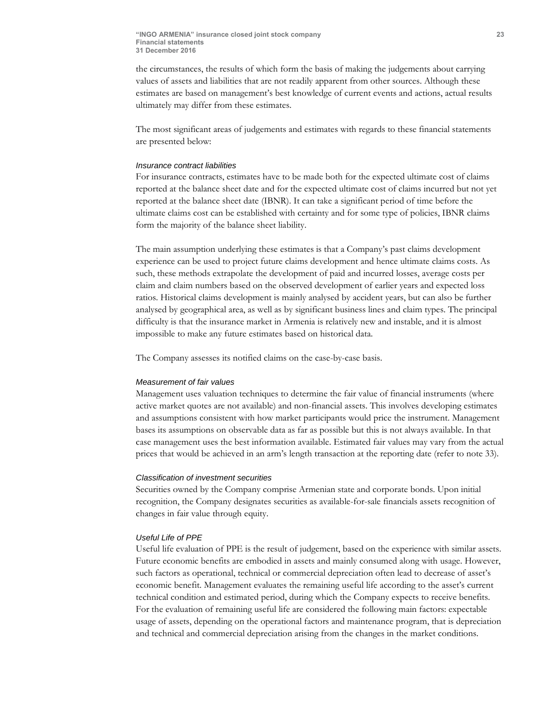the circumstances, the results of which form the basis of making the judgements about carrying values of assets and liabilities that are not readily apparent from other sources. Although these estimates are based on management's best knowledge of current events and actions, actual results ultimately may differ from these estimates.

The most significant areas of judgements and estimates with regards to these financial statements are presented below:

# *Insurance contract liabilities*

For insurance contracts, estimates have to be made both for the expected ultimate cost of claims reported at the balance sheet date and for the expected ultimate cost of claims incurred but not yet reported at the balance sheet date (IBNR). It can take a significant period of time before the ultimate claims cost can be established with certainty and for some type of policies, IBNR claims form the majority of the balance sheet liability.

The main assumption underlying these estimates is that a Company's past claims development experience can be used to project future claims development and hence ultimate claims costs. As such, these methods extrapolate the development of paid and incurred losses, average costs per claim and claim numbers based on the observed development of earlier years and expected loss ratios. Historical claims development is mainly analysed by accident years, but can also be further analysed by geographical area, as well as by significant business lines and claim types. The principal difficulty is that the insurance market in Armenia is relatively new and instable, and it is almost impossible to make any future estimates based on historical data.

The Company assesses its notified claims on the case-by-case basis.

#### *Measurement of fair values*

Management uses valuation techniques to determine the fair value of financial instruments (where active market quotes are not available) and non-financial assets. This involves developing estimates and assumptions consistent with how market participants would price the instrument. Management bases its assumptions on observable data as far as possible but this is not always available. In that case management uses the best information available. Estimated fair values may vary from the actual prices that would be achieved in an arm's length transaction at the reporting date (refer to note 33).

#### *Classification of investment securities*

Securities owned by the Company comprise Armenian state and corporate bonds. Upon initial recognition, the Company designates securities as available-for-sale financials assets recognition of changes in fair value through equity.

#### *Useful Life of PPE*

Useful life evaluation of PPE is the result of judgement, based on the experience with similar assets. Future economic benefits are embodied in assets and mainly consumed along with usage. However, such factors as operational, technical or commercial depreciation often lead to decrease of asset's economic benefit. Management evaluates the remaining useful life according to the asset's current technical condition and estimated period, during which the Company expects to receive benefits. For the evaluation of remaining useful life are considered the following main factors: expectable usage of assets, depending on the operational factors and maintenance program, that is depreciation and technical and commercial depreciation arising from the changes in the market conditions.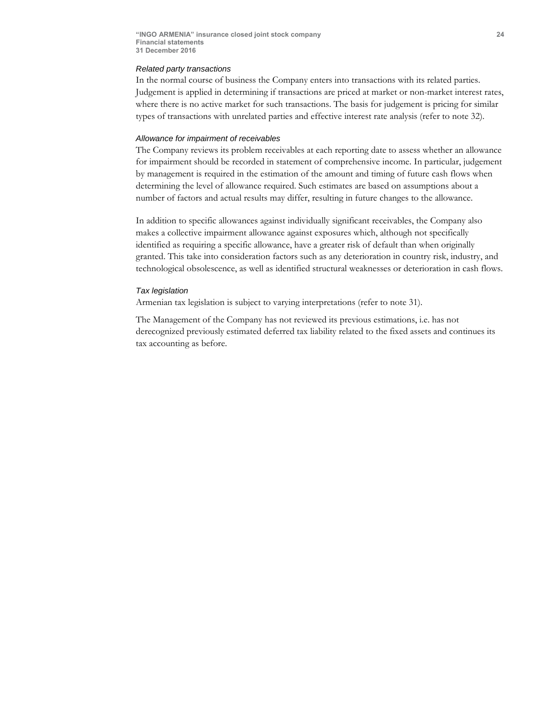#### *Related party transactions*

In the normal course of business the Company enters into transactions with its related parties. Judgement is applied in determining if transactions are priced at market or non-market interest rates, where there is no active market for such transactions. The basis for judgement is pricing for similar types of transactions with unrelated parties and effective interest rate analysis (refer to note 32).

#### *Allowance for impairment of receivables*

The Company reviews its problem receivables at each reporting date to assess whether an allowance for impairment should be recorded in statement of comprehensive income. In particular, judgement by management is required in the estimation of the amount and timing of future cash flows when determining the level of allowance required. Such estimates are based on assumptions about a number of factors and actual results may differ, resulting in future changes to the allowance.

In addition to specific allowances against individually significant receivables, the Company also makes a collective impairment allowance against exposures which, although not specifically identified as requiring a specific allowance, have a greater risk of default than when originally granted. This take into consideration factors such as any deterioration in country risk, industry, and technological obsolescence, as well as identified structural weaknesses or deterioration in cash flows.

#### *Tax legislation*

Armenian tax legislation is subject to varying interpretations (refer to note 31).

The Management of the Company has not reviewed its previous estimations, i.e. has not derecognized previously estimated deferred tax liability related to the fixed assets and continues its tax accounting as before.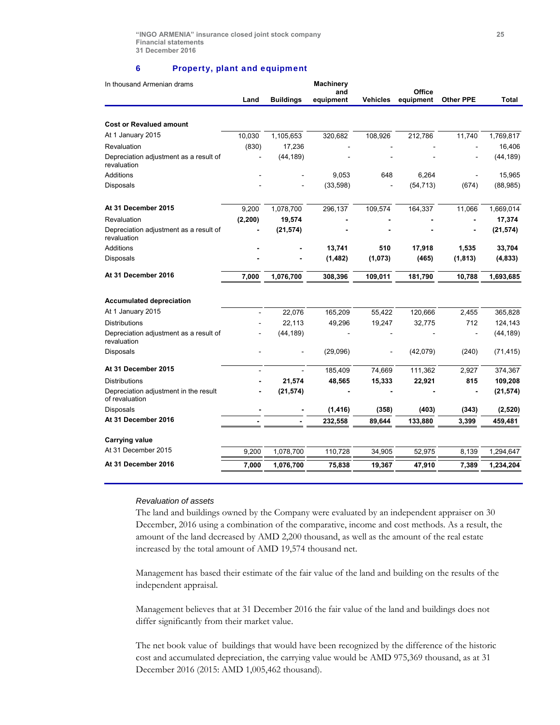#### 6 Property, plant and equipment

| In thousand Armenian drams                              | Land     | <b>Buildings</b> | <b>Machinery</b><br>and<br>equipment | <b>Vehicles</b> | Office<br>equipment | <b>Other PPE</b> | <b>Total</b> |
|---------------------------------------------------------|----------|------------------|--------------------------------------|-----------------|---------------------|------------------|--------------|
|                                                         |          |                  |                                      |                 |                     |                  |              |
| <b>Cost or Revalued amount</b>                          |          |                  |                                      |                 |                     |                  |              |
| At 1 January 2015                                       | 10,030   | 1,105,653        | 320,682                              | 108,926         | 212,786             | 11,740           | 1,769,817    |
| Revaluation                                             | (830)    | 17,236           |                                      |                 |                     |                  | 16,406       |
| Depreciation adjustment as a result of<br>revaluation   |          | (44, 189)        |                                      |                 |                     |                  | (44, 189)    |
| <b>Additions</b>                                        |          |                  | 9,053                                | 648             | 6,264               |                  | 15,965       |
| Disposals                                               |          |                  | (33,598)                             |                 | (54, 713)           | (674)            | (88, 985)    |
| At 31 December 2015                                     | 9,200    | 1,078,700        | 296,137                              | 109,574         | 164,337             | 11,066           | 1,669,014    |
| Revaluation                                             | (2, 200) | 19,574           |                                      |                 |                     | $\overline{a}$   | 17,374       |
| Depreciation adjustment as a result of<br>revaluation   |          | (21, 574)        |                                      |                 |                     |                  | (21, 574)    |
| <b>Additions</b>                                        |          |                  | 13,741                               | 510             | 17,918              | 1,535            | 33,704       |
| Disposals                                               |          |                  | (1, 482)                             | (1,073)         | (465)               | (1, 813)         | (4, 833)     |
| At 31 December 2016                                     | 7,000    | 1,076,700        | 308,396                              | 109,011         | 181,790             | 10,788           | 1,693,685    |
| <b>Accumulated depreciation</b>                         |          |                  |                                      |                 |                     |                  |              |
| At 1 January 2015                                       |          | 22,076           | 165,209                              | 55,422          | 120,666             | 2,455            | 365,828      |
| <b>Distributions</b>                                    |          | 22,113           | 49,296                               | 19,247          | 32,775              | 712              | 124,143      |
| Depreciation adjustment as a result of<br>revaluation   |          | (44, 189)        |                                      |                 |                     |                  | (44, 189)    |
| <b>Disposals</b>                                        |          |                  | (29,096)                             |                 | (42,079)            | (240)            | (71, 415)    |
| At 31 December 2015                                     |          | $\overline{a}$   | 185,409                              | 74,669          | 111,362             | 2,927            | 374,367      |
| <b>Distributions</b>                                    |          | 21,574           | 48,565                               | 15,333          | 22,921              | 815              | 109,208      |
| Depreciation adjustment in the result<br>of revaluation |          | (21, 574)        |                                      |                 |                     |                  | (21, 574)    |
| <b>Disposals</b>                                        |          |                  | (1, 416)                             | (358)           | (403)               | (343)            | (2, 520)     |
| At 31 December 2016                                     |          |                  | 232,558                              | 89,644          | 133,880             | 3,399            | 459,481      |
| <b>Carrying value</b>                                   |          |                  |                                      |                 |                     |                  |              |
| At 31 December 2015                                     | 9,200    | 1,078,700        | 110,728                              | 34.905          | 52,975              | 8,139            | 1,294,647    |
| At 31 December 2016                                     | 7,000    | 1,076,700        | 75,838                               | 19,367          | 47,910              | 7,389            | 1,234,204    |
|                                                         |          |                  |                                      |                 |                     |                  |              |

#### *Revaluation of assets*

The land and buildings owned by the Company were evaluated by an independent appraiser on 30 December, 2016 using a combination of the comparative, income and cost methods. As a result, the amount of the land decreased by AMD 2,200 thousand, as well as the amount of the real estate increased by the total amount of AMD 19,574 thousand net.

Management has based their estimate of the fair value of the land and building on the results of the independent appraisal.

Management believes that at 31 December 2016 the fair value of the land and buildings does not differ significantly from their market value.

The net book value of buildings that would have been recognized by the difference of the historic cost and accumulated depreciation, the carrying value would be AMD 975,369 thousand, as at 31 December 2016 (2015: AMD 1,005,462 thousand).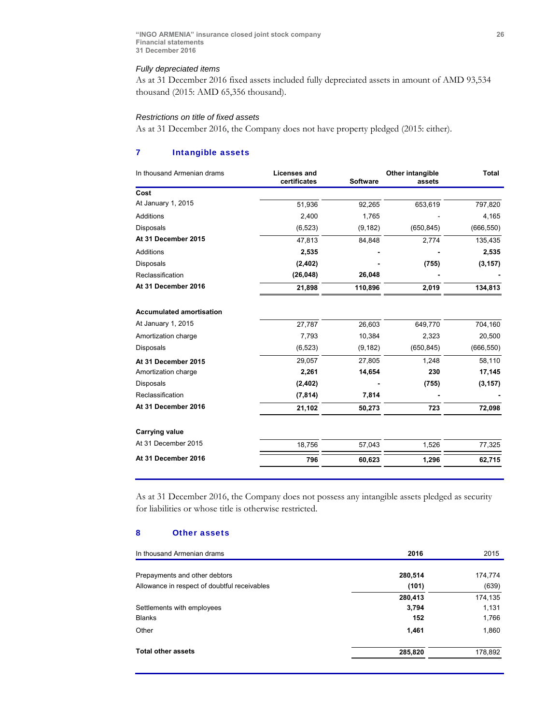#### *Fully depreciated items*

As at 31 December 2016 fixed assets included fully depreciated assets in amount of AMD 93,534 thousand (2015: AMD 65,356 thousand).

### *Restrictions on title of fixed assets*

As at 31 December 2016, the Company does not have property pledged (2015: either).

# 7 Intangible assets

| In thousand Armenian drams      | <b>Licenses and</b><br>certificates | <b>Software</b> | Other intangible<br>assets | <b>Total</b> |
|---------------------------------|-------------------------------------|-----------------|----------------------------|--------------|
| Cost                            |                                     |                 |                            |              |
| At January 1, 2015              | 51,936                              | 92,265          | 653,619                    | 797,820      |
| <b>Additions</b>                | 2,400                               | 1,765           |                            | 4,165        |
| Disposals                       | (6, 523)                            | (9, 182)        | (650, 845)                 | (666, 550)   |
| At 31 December 2015             | 47,813                              | 84,848          | 2,774                      | 135,435      |
| Additions                       | 2,535                               |                 |                            | 2,535        |
| Disposals                       | (2, 402)                            |                 | (755)                      | (3, 157)     |
| Reclassification                | (26, 048)                           | 26,048          |                            |              |
| At 31 December 2016             | 21,898                              | 110,896         | 2,019                      | 134,813      |
| <b>Accumulated amortisation</b> |                                     |                 |                            |              |
| At January 1, 2015              | 27,787                              | 26,603          | 649,770                    | 704,160      |
| Amortization charge             | 7,793                               | 10,384          | 2,323                      | 20,500       |
| <b>Disposals</b>                | (6, 523)                            | (9, 182)        | (650, 845)                 | (666, 550)   |
| At 31 December 2015             | 29,057                              | 27,805          | 1,248                      | 58,110       |
| Amortization charge             | 2,261                               | 14,654          | 230                        | 17,145       |
| <b>Disposals</b>                | (2, 402)                            |                 | (755)                      | (3, 157)     |
| Reclassification                | (7, 814)                            | 7,814           |                            |              |
| At 31 December 2016             | 21,102                              | 50,273          | 723                        | 72,098       |
| <b>Carrying value</b>           |                                     |                 |                            |              |
| At 31 December 2015             | 18,756                              | 57,043          | 1,526                      | 77,325       |
| At 31 December 2016             | 796                                 | 60,623          | 1,296                      | 62,715       |

As at 31 December 2016, the Company does not possess any intangible assets pledged as security for liabilities or whose title is otherwise restricted.

### 8 Other assets

| In thousand Armenian drams                   | 2016    | 2015    |
|----------------------------------------------|---------|---------|
| Prepayments and other debtors                | 280,514 | 174,774 |
| Allowance in respect of doubtful receivables | (101)   | (639)   |
|                                              | 280,413 | 174,135 |
| Settlements with employees                   | 3,794   | 1,131   |
| <b>Blanks</b>                                | 152     | 1,766   |
| Other                                        | 1,461   | 1,860   |
| <b>Total other assets</b>                    | 285,820 | 178,892 |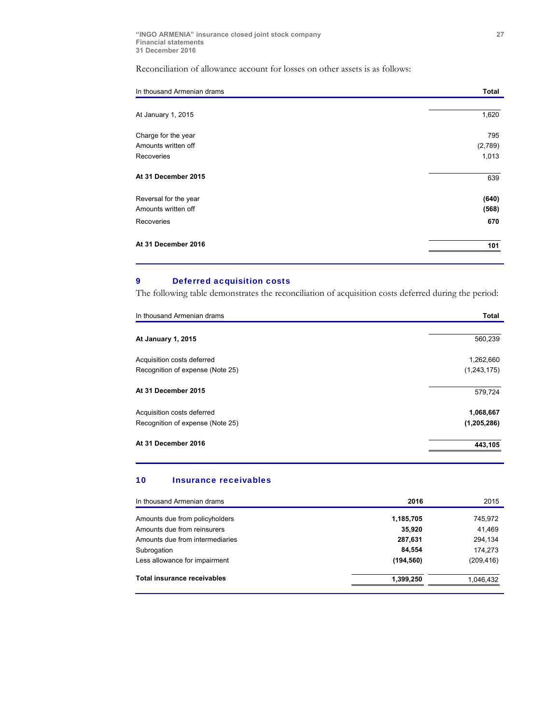# Reconciliation of allowance account for losses on other assets is as follows:

| In thousand Armenian drams | Total   |
|----------------------------|---------|
|                            |         |
| At January 1, 2015         | 1,620   |
| Charge for the year        | 795     |
| Amounts written off        | (2,789) |
| Recoveries                 | 1,013   |
| At 31 December 2015        | 639     |
| Reversal for the year      | (640)   |
| Amounts written off        | (568)   |
| Recoveries                 | 670     |
| At 31 December 2016        | 101     |

# 9 Deferred acquisition costs

The following table demonstrates the reconciliation of acquisition costs deferred during the period:

| In thousand Armenian drams       | Total       |
|----------------------------------|-------------|
| At January 1, 2015               | 560,239     |
| Acquisition costs deferred       | 1,262,660   |
| Recognition of expense (Note 25) | (1,243,175) |
| At 31 December 2015              | 579,724     |
| Acquisition costs deferred       | 1,068,667   |
| Recognition of expense (Note 25) | (1,205,286) |
| At 31 December 2016              | 443,105     |

#### 10 Insurance receivables

|         | 745,972                              |
|---------|--------------------------------------|
| 35,920  | 41,469                               |
| 287,631 | 294,134                              |
| 84,554  | 174,273                              |
|         | (209, 416)                           |
|         | 1,046,432                            |
|         | 1,185,705<br>(194, 560)<br>1,399,250 |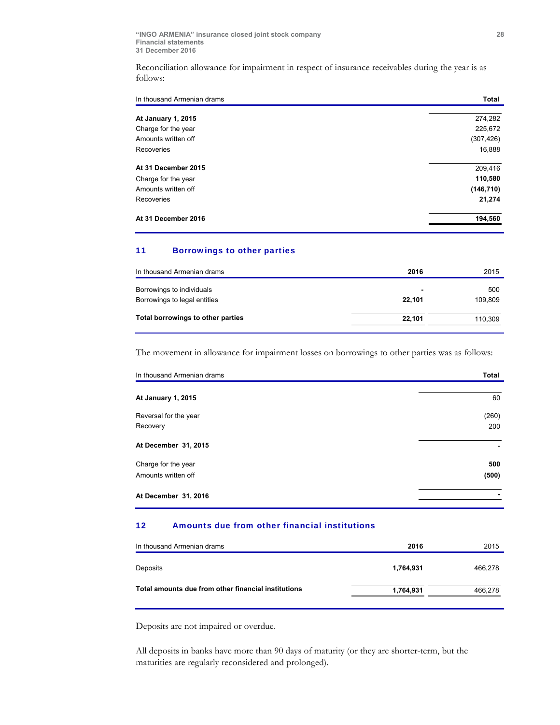Reconciliation allowance for impairment in respect of insurance receivables during the year is as follows:

| In thousand Armenian drams | Total      |
|----------------------------|------------|
| <b>At January 1, 2015</b>  | 274,282    |
| Charge for the year        | 225,672    |
| Amounts written off        | (307, 426) |
| Recoveries                 | 16,888     |
| At 31 December 2015        | 209,416    |
| Charge for the year        | 110,580    |
| Amounts written off        | (146, 710) |
| Recoveries                 | 21,274     |
| At 31 December 2016        | 194,560    |

# 11 Borrowings to other parties

| In thousand Armenian drams        | 2016           | 2015    |
|-----------------------------------|----------------|---------|
| Borrowings to individuals         | $\blacksquare$ | 500     |
| Borrowings to legal entities      | 22.101         | 109.809 |
| Total borrowings to other parties | 22.101         | 110,309 |
|                                   |                |         |

The movement in allowance for impairment losses on borrowings to other parties was as follows:

| In thousand Armenian drams | Total |
|----------------------------|-------|
| At January 1, 2015         | 60    |
| Reversal for the year      | (260) |
| Recovery                   | 200   |
| At December 31, 2015       |       |
| Charge for the year        | 500   |
| Amounts written off        | (500) |
| At December 31, 2016       |       |

# 12 Amounts due from other financial institutions

| In thousand Armenian drams                          | 2016      | 2015    |
|-----------------------------------------------------|-----------|---------|
| Deposits                                            | 1.764.931 | 466,278 |
| Total amounts due from other financial institutions | 1,764,931 | 466,278 |

Deposits are not impaired or overdue.

All deposits in banks have more than 90 days of maturity (or they are shorter-term, but the maturities are regularly reconsidered and prolonged).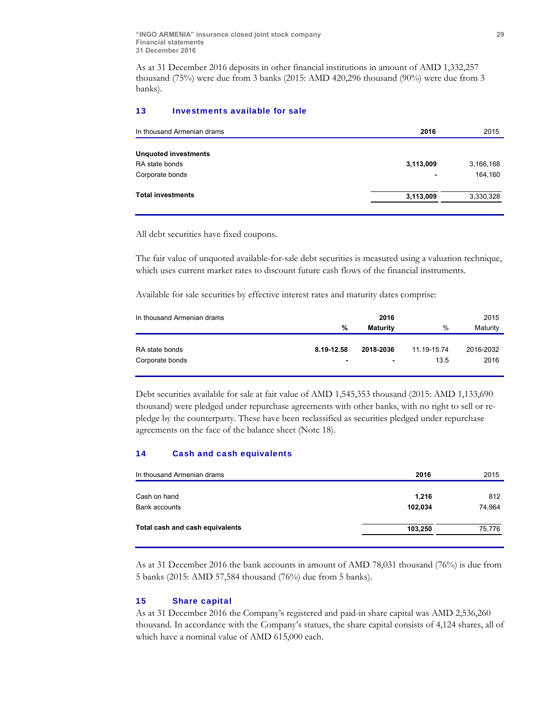As at 31 December 2016 deposits in other financial institutions in amount of AMD 1,332,257 thousand (75%) were due from 3 banks (2015: AMD 420,296 thousand (90%) were due from 3 banks).

### 13 Investments available for sale

| In thousand Armenian drams  | 2016      | 2015      |
|-----------------------------|-----------|-----------|
|                             |           |           |
| <b>Unquoted investments</b> |           |           |
| RA state bonds              | 3,113,009 | 3,166,168 |
| Corporate bonds             | -         | 164,160   |
| <b>Total investments</b>    | 3,113,009 | 3,330,328 |
|                             |           |           |

All debt securities have fixed coupons.

The fair value of unquoted available-for-sale debt securities is measured using a valuation technique, which uses current market rates to discount future cash flows of the financial instruments.

Available for sale securities by effective interest rates and maturity dates comprise:

| In thousand Armenian drams |                | 2016           |             | 2015      |
|----------------------------|----------------|----------------|-------------|-----------|
|                            | %              | Maturity       | %           | Maturity  |
|                            |                |                |             |           |
| RA state bonds             | 8.19-12.58     | 2018-2036      | 11.19-15.74 | 2016-2032 |
| Corporate bonds            | $\blacksquare$ | $\blacksquare$ | 13.5        | 2016      |
|                            |                |                |             |           |

Debt securities available for sale at fair value of AMD 1,545,353 thousand (2015: AMD 1,133,690 thousand) were pledged under repurchase agreements with other banks, with no right to sell or repledge by the counterparty. These have been reclassified as securities pledged under repurchase agreements on the face of the balance sheet (Note 18).

### 14 Cash and cash equivalents

| In thousand Armenian drams      | 2016    | 2015   |
|---------------------------------|---------|--------|
| Cash on hand                    | 1,216   | 812    |
| Bank accounts                   | 102,034 | 74,964 |
| Total cash and cash equivalents | 103,250 | 75,776 |
|                                 |         |        |

As at 31 December 2016 the bank accounts in amount of AMD 78,031 thousand (76%) is due from 5 banks (2015: AMD 57,584 thousand (76%) due from 5 banks).

### 15 Share capital

As at 31 December 2016 the Company's registered and paid-in share capital was AMD 2,536,260 thousand. In accordance with the Company's statues, the share capital consists of 4,124 shares, all of which have a nominal value of AMD 615,000 each.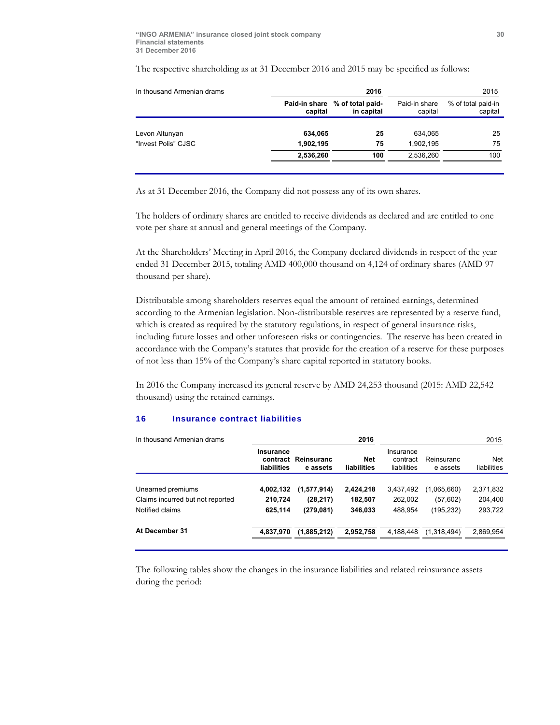| In thousand Armenian drams |           | 2015                                         |                          |                               |
|----------------------------|-----------|----------------------------------------------|--------------------------|-------------------------------|
|                            | capital   | Paid-in share % of total paid-<br>in capital | Paid-in share<br>capital | % of total paid-in<br>capital |
| Levon Altunyan             | 634,065   | 25                                           | 634.065                  | 25                            |
| "Invest Polis" CJSC        | 1,902,195 | 75                                           | 1.902.195                | 75                            |
|                            | 2,536,260 | 100                                          | 2,536,260                | 100                           |
|                            |           |                                              |                          |                               |

The respective shareholding as at 31 December 2016 and 2015 may be specified as follows:

As at 31 December 2016, the Company did not possess any of its own shares.

The holders of ordinary shares are entitled to receive dividends as declared and are entitled to one vote per share at annual and general meetings of the Company.

At the Shareholders' Meeting in April 2016, the Company declared dividends in respect of the year ended 31 December 2015, totaling AMD 400,000 thousand on 4,124 of ordinary shares (AMD 97 thousand per share).

Distributable among shareholders reserves equal the amount of retained earnings, determined according to the Armenian legislation. Non-distributable reserves are represented by a reserve fund, which is created as required by the statutory regulations, in respect of general insurance risks, including future losses and other unforeseen risks or contingencies. The reserve has been created in accordance with the Company's statutes that provide for the creation of a reserve for these purposes of not less than 15% of the Company's share capital reported in statutory books.

In 2016 the Company increased its general reserve by AMD 24,253 thousand (2015: AMD 22,542 thousand) using the retained earnings.

### 16 Insurance contract liabilities

| In thousand Armenian drams       |                                      |                        | 2016                      |                                      | 2015                   |                    |
|----------------------------------|--------------------------------------|------------------------|---------------------------|--------------------------------------|------------------------|--------------------|
|                                  | Insurance<br>contract<br>liabilities | Reinsuranc<br>e assets | <b>Net</b><br>liabilities | Insurance<br>contract<br>liabilities | Reinsuranc<br>e assets | Net<br>liabilities |
|                                  |                                      |                        |                           |                                      |                        |                    |
| Unearned premiums                | 4,002,132                            | (1,577,914)            | 2,424,218                 | 3,437,492                            | (1,065,660)            | 2,371,832          |
| Claims incurred but not reported | 210,724                              | (28, 217)              | 182.507                   | 262.002                              | (57,602)               | 204.400            |
| Notified claims                  | 625,114                              | (279,081)              | 346,033                   | 488.954                              | (195, 232)             | 293,722            |
| At December 31                   | 4,837,970                            | (1,885,212)            | 2,952,758                 | 4.188.448                            | (1,318,494)            | 2,869,954          |
|                                  |                                      |                        |                           |                                      |                        |                    |

The following tables show the changes in the insurance liabilities and related reinsurance assets during the period: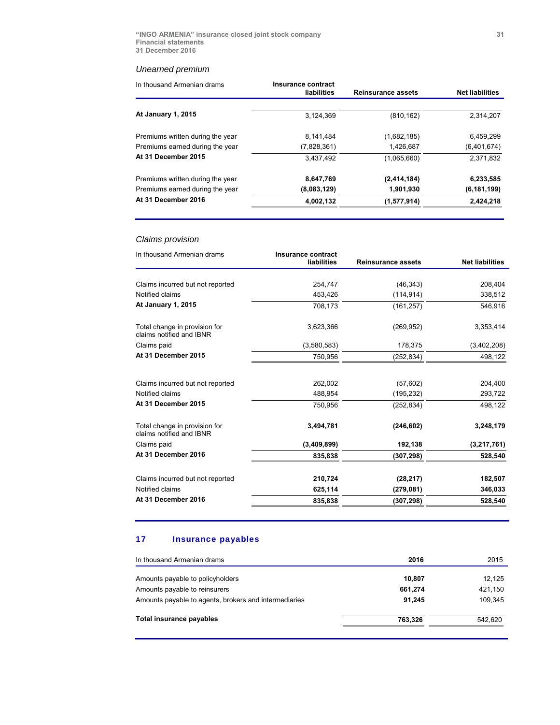# *Unearned premium*

| In thousand Armenian drams       | Insurance contract<br>liabilities | <b>Reinsurance assets</b> | <b>Net liabilities</b> |
|----------------------------------|-----------------------------------|---------------------------|------------------------|
| <b>At January 1, 2015</b>        | 3.124.369                         | (810, 162)                | 2,314,207              |
| Premiums written during the year | 8,141,484                         | (1,682,185)               | 6,459,299              |
| Premiums earned during the year  | (7,828,361)                       | 1,426,687                 | (6,401,674)            |
| At 31 December 2015              | 3.437.492                         | (1,065,660)               | 2,371,832              |
| Premiums written during the year | 8,647,769                         | (2,414,184)               | 6,233,585              |
| Premiums earned during the year  | (8,083,129)                       | 1,901,930                 | (6, 181, 199)          |
| At 31 December 2016              | 4,002,132                         | (1,577,914)               | 2,424,218              |

# *Claims provision*

| In thousand Armenian drams                                | Insurance contract<br>liabilities | <b>Reinsurance assets</b> | <b>Net liabilities</b> |
|-----------------------------------------------------------|-----------------------------------|---------------------------|------------------------|
|                                                           |                                   |                           |                        |
| Claims incurred but not reported                          | 254,747                           | (46, 343)                 | 208,404                |
| Notified claims                                           | 453,426                           | (114, 914)                | 338,512                |
| <b>At January 1, 2015</b>                                 | 708,173                           | (161, 257)                | 546,916                |
| Total change in provision for<br>claims notified and IBNR | 3,623,366                         | (269, 952)                | 3,353,414              |
| Claims paid                                               | (3,580,583)                       | 178,375                   | (3,402,208)            |
| At 31 December 2015                                       | 750,956                           | (252, 834)                | 498,122                |
|                                                           |                                   |                           |                        |
| Claims incurred but not reported                          | 262,002                           | (57,602)                  | 204,400                |
| Notified claims                                           | 488,954                           | (195, 232)                | 293,722                |
| At 31 December 2015                                       | 750,956                           | (252, 834)                | 498,122                |
| Total change in provision for<br>claims notified and IBNR | 3.494.781                         | (246, 602)                | 3,248,179              |
| Claims paid                                               | (3,409,899)                       | 192,138                   | (3,217,761)            |
| At 31 December 2016                                       | 835,838                           | (307, 298)                | 528,540                |
| Claims incurred but not reported                          | 210,724                           | (28, 217)                 | 182,507                |
| Notified claims                                           | 625,114                           | (279, 081)                | 346,033                |
| At 31 December 2016                                       | 835,838                           | (307, 298)                | 528,540                |
|                                                           |                                   |                           |                        |

# 17 Insurance payables

| In thousand Armenian drams                            | 2016    | 2015    |
|-------------------------------------------------------|---------|---------|
| Amounts payable to policyholders                      | 10,807  | 12.125  |
| Amounts payable to reinsurers                         | 661,274 | 421,150 |
| Amounts payable to agents, brokers and intermediaries | 91,245  | 109,345 |
| Total insurance payables                              | 763,326 | 542,620 |
|                                                       |         |         |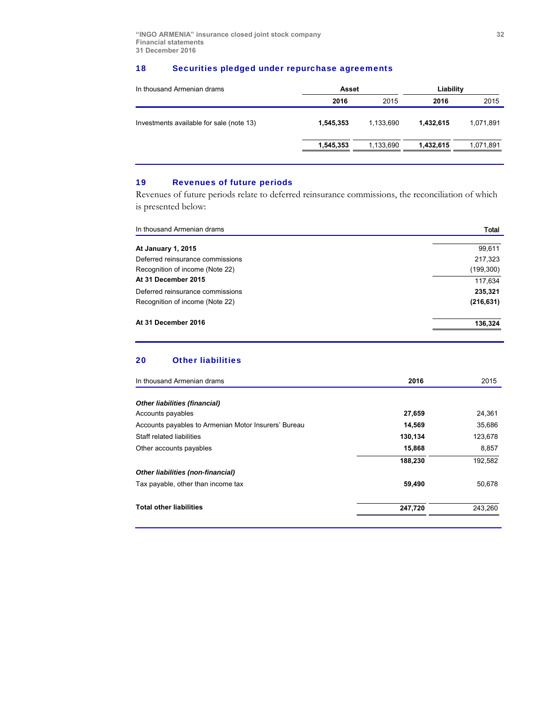# 18 Securities pledged under repurchase agreements

| In thousand Armenian drams               | Asset     |           | Liability |           |  |
|------------------------------------------|-----------|-----------|-----------|-----------|--|
|                                          | 2016      | 2015      | 2016      | 2015      |  |
| Investments available for sale (note 13) | 1,545,353 | 1.133.690 | 1.432.615 | 1.071.891 |  |
|                                          | 1,545,353 | 1,133,690 | 1.432.615 | 1,071,891 |  |
|                                          |           |           |           |           |  |

# 19 Revenues of future periods

Revenues of future periods relate to deferred reinsurance commissions, the reconciliation of which is presented below:

| In thousand Armenian drams       | Total      |
|----------------------------------|------------|
|                                  |            |
| <b>At January 1, 2015</b>        | 99,611     |
| Deferred reinsurance commissions | 217,323    |
| Recognition of income (Note 22)  | (199, 300) |
| At 31 December 2015              | 117,634    |
| Deferred reinsurance commissions | 235,321    |
| Recognition of income (Note 22)  | (216, 631) |
| At 31 December 2016              | 136,324    |
|                                  |            |

# 20 Other liabilities

| In thousand Armenian drams                           | 2016    | 2015    |
|------------------------------------------------------|---------|---------|
| <b>Other liabilities (financial)</b>                 |         |         |
| Accounts payables                                    | 27,659  | 24,361  |
| Accounts payables to Armenian Motor Insurers' Bureau | 14,569  | 35,686  |
| Staff related liabilities                            | 130,134 | 123,678 |
| Other accounts payables                              | 15,868  | 8,857   |
|                                                      | 188,230 | 192,582 |
| Other liabilities (non-financial)                    |         |         |
| Tax payable, other than income tax                   | 59,490  | 50,678  |
| <b>Total other liabilities</b>                       | 247,720 | 243.260 |
|                                                      |         |         |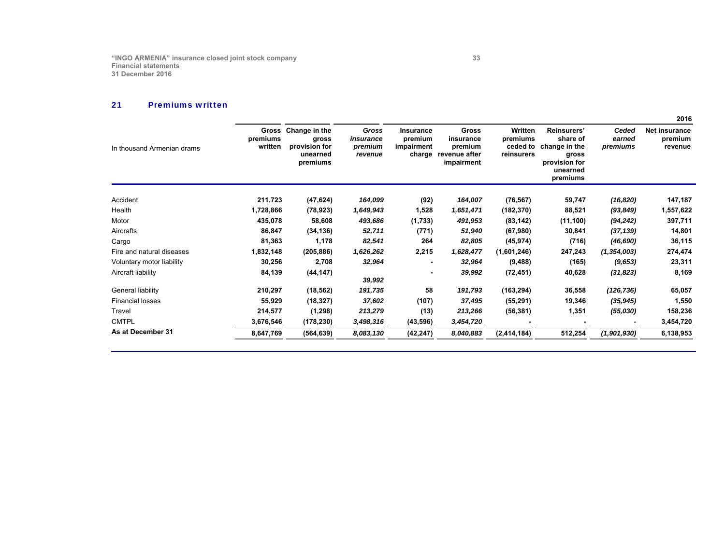#### 21Premiums written

|                            |                              |                                                                 |                                                 |                                              |                                                              |                                               |                                                                                            |                             | 2016                                       |
|----------------------------|------------------------------|-----------------------------------------------------------------|-------------------------------------------------|----------------------------------------------|--------------------------------------------------------------|-----------------------------------------------|--------------------------------------------------------------------------------------------|-----------------------------|--------------------------------------------|
| In thousand Armenian drams | Gross<br>premiums<br>written | Change in the<br>gross<br>provision for<br>unearned<br>premiums | <b>Gross</b><br>insurance<br>premium<br>revenue | Insurance<br>premium<br>impairment<br>charge | Gross<br>insurance<br>premium<br>revenue after<br>impairment | Written<br>premiums<br>ceded to<br>reinsurers | Reinsurers'<br>share of<br>change in the<br>gross<br>provision for<br>unearned<br>premiums | Ceded<br>earned<br>premiums | <b>Net insurance</b><br>premium<br>revenue |
| Accident                   | 211,723                      | (47, 624)                                                       | 164,099                                         | (92)                                         | 164,007                                                      | (76, 567)                                     | 59,747                                                                                     | (16, 820)                   | 147,187                                    |
| Health                     | 1,728,866                    | (78, 923)                                                       | 1,649,943                                       | 1,528                                        | 1,651,471                                                    | (182, 370)                                    | 88,521                                                                                     | (93, 849)                   | 1,557,622                                  |
| Motor                      | 435,078                      | 58,608                                                          | 493,686                                         | (1,733)                                      | 491,953                                                      | (83, 142)                                     | (11, 100)                                                                                  | (94, 242)                   | 397,711                                    |
| Aircrafts                  | 86,847                       | (34, 136)                                                       | 52,711                                          | (771)                                        | 51,940                                                       | (67,980)                                      | 30,841                                                                                     | (37, 139)                   | 14,801                                     |
| Cargo                      | 81,363                       | 1,178                                                           | 82,541                                          | 264                                          | 82,805                                                       | (45, 974)                                     | (716)                                                                                      | (46, 690)                   | 36,115                                     |
| Fire and natural diseases  | 1,832,148                    | (205, 886)                                                      | 1,626,262                                       | 2,215                                        | 1,628,477                                                    | (1,601,246)                                   | 247,243                                                                                    | (1, 354, 003)               | 274,474                                    |
| Voluntary motor liability  | 30,256                       | 2,708                                                           | 32,964                                          |                                              | 32,964                                                       | (9, 488)                                      | (165)                                                                                      | (9,653)                     | 23,311                                     |
| Aircraft liability         | 84,139                       | (44, 147)                                                       | 39,992                                          |                                              | 39,992                                                       | (72, 451)                                     | 40,628                                                                                     | (31, 823)                   | 8,169                                      |
| General liability          | 210,297                      | (18, 562)                                                       | 191,735                                         | 58                                           | 191,793                                                      | (163, 294)                                    | 36,558                                                                                     | (126, 736)                  | 65,057                                     |
| <b>Financial losses</b>    | 55,929                       | (18, 327)                                                       | 37,602                                          | (107)                                        | 37,495                                                       | (55, 291)                                     | 19,346                                                                                     | (35, 945)                   | 1,550                                      |
| Travel                     | 214,577                      | (1, 298)                                                        | 213,279                                         | (13)                                         | 213,266                                                      | (56, 381)                                     | 1,351                                                                                      | (55,030)                    | 158,236                                    |
| <b>CMTPL</b>               | 3,676,546                    | (178, 230)                                                      | 3,498,316                                       | (43,596)                                     | 3,454,720                                                    |                                               |                                                                                            |                             | 3,454,720                                  |
| As at December 31          | 8,647,769                    | (564, 639)                                                      | 8,083,130                                       | (42, 247)                                    | 8,040,883                                                    | (2, 414, 184)                                 | 512,254                                                                                    | (1,901,930)                 | 6,138,953                                  |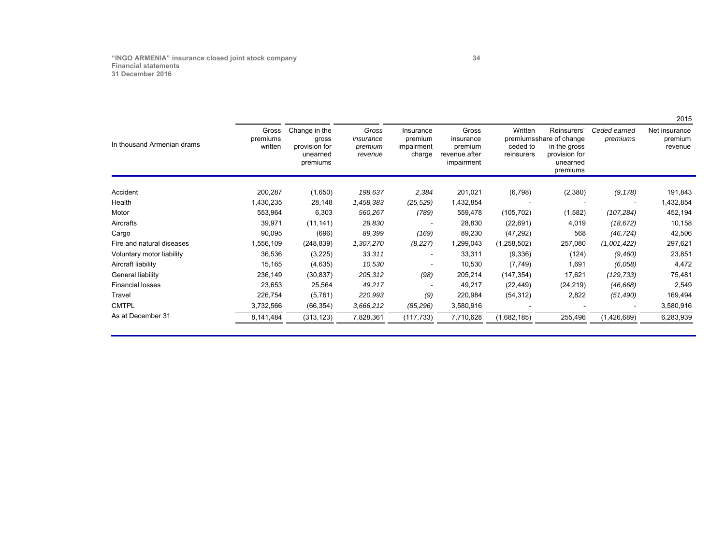# **"INGO ARMENIA" insurance closed joint stock company 34 Financial statements 31 December 2016**

|                            |                              |                                                                 |                                          |                                              |                                                              |                                   |                                                                                                  |                          | 2015                                |
|----------------------------|------------------------------|-----------------------------------------------------------------|------------------------------------------|----------------------------------------------|--------------------------------------------------------------|-----------------------------------|--------------------------------------------------------------------------------------------------|--------------------------|-------------------------------------|
| In thousand Armenian drams | Gross<br>premiums<br>written | Change in the<br>gross<br>provision for<br>unearned<br>premiums | Gross<br>insurance<br>premium<br>revenue | Insurance<br>premium<br>impairment<br>charge | Gross<br>insurance<br>premium<br>revenue after<br>impairment | Written<br>ceded to<br>reinsurers | Reinsurers'<br>premiums share of change<br>in the gross<br>provision for<br>unearned<br>premiums | Ceded earned<br>premiums | Net insurance<br>premium<br>revenue |
| Accident                   | 200,287                      | (1,650)                                                         | 198,637                                  | 2,384                                        | 201,021                                                      | (6,798)                           | (2,380)                                                                                          | (9, 178)                 | 191,843                             |
| Health                     | 1,430,235                    | 28,148                                                          | 1,458,383                                | (25, 529)                                    | 1,432,854                                                    |                                   |                                                                                                  |                          | 1,432,854                           |
| Motor                      | 553,964                      | 6,303                                                           | 560,267                                  | (789)                                        | 559,478                                                      | (105, 702)                        | (1,582)                                                                                          | (107, 284)               | 452,194                             |
| Aircrafts                  | 39,971                       | (11, 141)                                                       | 28,830                                   |                                              | 28,830                                                       | (22, 691)                         | 4,019                                                                                            | (18, 672)                | 10,158                              |
| Cargo                      | 90,095                       | (696)                                                           | 89,399                                   | (169)                                        | 89,230                                                       | (47, 292)                         | 568                                                                                              | (46, 724)                | 42,506                              |
| Fire and natural diseases  | 1,556,109                    | (248, 839)                                                      | 1,307,270                                | (8,227)                                      | 1,299,043                                                    | (1,258,502)                       | 257,080                                                                                          | (1,001,422)              | 297,621                             |
| Voluntary motor liability  | 36,536                       | (3,225)                                                         | 33,311                                   |                                              | 33,311                                                       | (9,336)                           | (124)                                                                                            | (9,460)                  | 23,851                              |
| Aircraft liability         | 15,165                       | (4,635)                                                         | 10,530                                   |                                              | 10,530                                                       | (7,749)                           | 1,691                                                                                            | (6,058)                  | 4,472                               |
| General liability          | 236,149                      | (30, 837)                                                       | 205,312                                  | (98)                                         | 205,214                                                      | (147, 354)                        | 17,621                                                                                           | (129, 733)               | 75,481                              |
| <b>Financial losses</b>    | 23,653                       | 25,564                                                          | 49,217                                   |                                              | 49,217                                                       | (22, 449)                         | (24, 219)                                                                                        | (46, 668)                | 2,549                               |
| Travel                     | 226,754                      | (5,761)                                                         | 220,993                                  | (9)                                          | 220,984                                                      | (54, 312)                         | 2,822                                                                                            | (51, 490)                | 169,494                             |
| <b>CMTPL</b>               | 3,732,566                    | (66, 354)                                                       | 3,666,212                                | (85, 296)                                    | 3,580,916                                                    |                                   |                                                                                                  |                          | 3,580,916                           |
| As at December 31          | 8,141,484                    | (313, 123)                                                      | 7,828,361                                | (117, 733)                                   | 7,710,628                                                    | (1,682,185)                       | 255,496                                                                                          | (1,426,689)              | 6,283,939                           |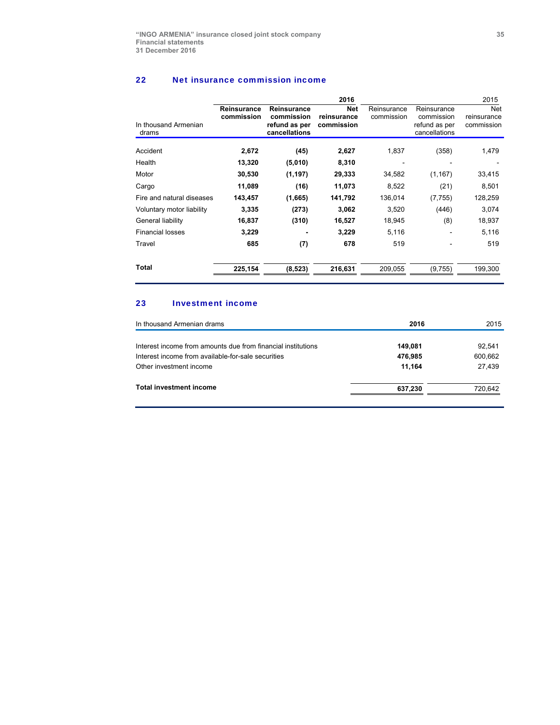#### 22 Net insurance commission income

| In thousand Armenian<br>drams | <b>Reinsurance</b><br>commission | <b>Reinsurance</b><br>commission<br>refund as per<br>cancellations | 2016<br><b>Net</b><br>reinsurance<br>commission | Reinsurance<br>commission | Reinsurance<br>commission<br>refund as per<br>cancellations | 2015<br><b>Net</b><br>reinsurance<br>commission |
|-------------------------------|----------------------------------|--------------------------------------------------------------------|-------------------------------------------------|---------------------------|-------------------------------------------------------------|-------------------------------------------------|
| Accident                      | 2,672                            | (45)                                                               | 2,627                                           | 1,837                     | (358)                                                       | 1,479                                           |
| Health                        | 13,320                           | (5,010)                                                            | 8,310                                           |                           |                                                             |                                                 |
| Motor                         | 30,530                           | (1, 197)                                                           | 29,333                                          | 34,582                    | (1, 167)                                                    | 33,415                                          |
| Cargo                         | 11,089                           | (16)                                                               | 11,073                                          | 8,522                     | (21)                                                        | 8,501                                           |
| Fire and natural diseases     | 143,457                          | (1,665)                                                            | 141,792                                         | 136,014                   | (7,755)                                                     | 128,259                                         |
| Voluntary motor liability     | 3,335                            | (273)                                                              | 3,062                                           | 3,520                     | (446)                                                       | 3,074                                           |
| General liability             | 16,837                           | (310)                                                              | 16,527                                          | 18,945                    | (8)                                                         | 18,937                                          |
| <b>Financial losses</b>       | 3,229                            |                                                                    | 3,229                                           | 5,116                     |                                                             | 5,116                                           |
| Travel                        | 685                              | (7)                                                                | 678                                             | 519                       |                                                             | 519                                             |
| <b>Total</b>                  | 225,154                          | (8, 523)                                                           | 216,631                                         | 209,055                   | (9,755)                                                     | 199,300                                         |

# 23 Investment income

| In thousand Armenian drams                                   | 2016    | 2015    |
|--------------------------------------------------------------|---------|---------|
| Interest income from amounts due from financial institutions | 149,081 | 92.541  |
| Interest income from available-for-sale securities           | 476.985 | 600,662 |
| Other investment income                                      | 11.164  | 27.439  |
| Total investment income                                      | 637,230 | 720,642 |
|                                                              |         |         |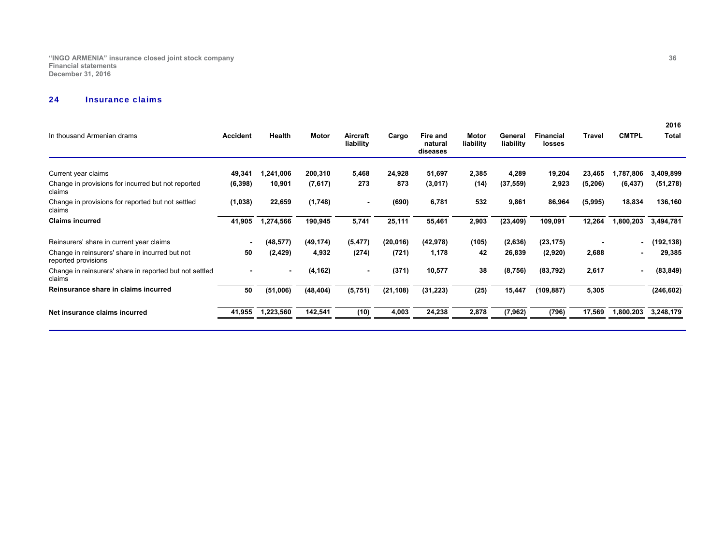**"INGO ARMENIA" insurance closed joint stock company 36 Financial statements December 31, 2016** 

#### 24Insurance claims

|                 |                |           |                       |           |                                 |                    |                      |                            |          |                | 2016         |
|-----------------|----------------|-----------|-----------------------|-----------|---------------------------------|--------------------|----------------------|----------------------------|----------|----------------|--------------|
| <b>Accident</b> | Health         | Motor     | Aircraft<br>liability | Cargo     | Fire and<br>natural<br>diseases | Motor<br>liability | General<br>liability | <b>Financial</b><br>losses | Travel   | <b>CMTPL</b>   | <b>Total</b> |
|                 |                |           |                       |           |                                 |                    |                      |                            |          |                |              |
| 49,341          | 1,241,006      | 200,310   | 5,468                 | 24,928    | 51,697                          | 2,385              | 4,289                | 19,204                     | 23,465   | 1,787,806      | 3,409,899    |
| (6, 398)        | 10,901         | (7,617)   | 273                   | 873       | (3,017)                         | (14)               | (37, 559)            | 2,923                      | (5, 206) | (6, 437)       | (51, 278)    |
| (1,038)         | 22,659         | (1,748)   | $\blacksquare$        | (690)     | 6,781                           | 532                | 9,861                | 86,964                     | (5,995)  | 18,834         | 136,160      |
| 41,905          | 1,274,566      | 190,945   | 5,741                 | 25,111    | 55,461                          | 2,903              | (23, 409)            | 109,091                    | 12,264   | 1,800,203      | 3,494,781    |
|                 | (48,577)       | (49, 174) | (5, 477)              | (20, 016) | (42,978)                        | (105)              | (2,636)              | (23, 175)                  |          |                | (192, 138)   |
| 50              | (2, 429)       | 4,932     | (274)                 | (721)     | 1,178                           | 42                 | 26,839               | (2,920)                    | 2,688    | $\blacksquare$ | 29,385       |
|                 | $\blacksquare$ | (4, 162)  | $\blacksquare$        | (371)     | 10,577                          | 38                 | (8,756)              | (83, 792)                  | 2,617    |                | (83, 849)    |
| 50              | (51,006)       | (48, 404) | (5,751)               | (21, 108) | (31, 223)                       | (25)               | 15,447               | (109, 887)                 | 5,305    |                | (246, 602)   |
| 41,955          | 1,223,560      | 142,541   | (10)                  | 4,003     | 24,238                          | 2,878              | (7, 962)             | (796)                      | 17,569   | 1,800,203      | 3,248,179    |
|                 |                |           |                       |           |                                 |                    |                      |                            |          |                |              |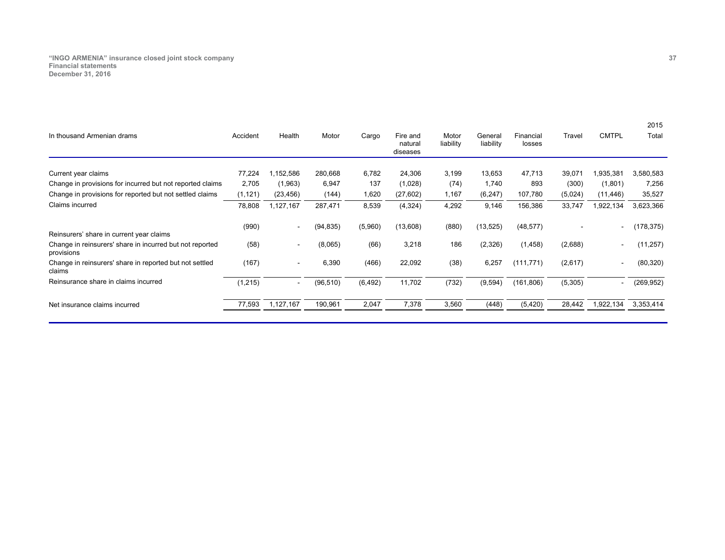**"INGO ARMENIA" insurance closed joint stock company 37 Financial statements December 31, 2016** 

| Accident | Health          | Motor     | Cargo            | Fire and<br>natural<br>diseases | Motor<br>liability | General<br>liability | Financial<br>losses | Travel                   | <b>CMTPL</b>             | Total      |
|----------|-----------------|-----------|------------------|---------------------------------|--------------------|----------------------|---------------------|--------------------------|--------------------------|------------|
|          |                 |           |                  |                                 |                    |                      |                     |                          |                          |            |
|          |                 |           |                  |                                 |                    |                      |                     |                          |                          | 3,580,583  |
|          | (1,963)         |           | 137              | (1,028)                         | (74)               | 1,740                | 893                 | (300)                    | (1,801)                  | 7,256      |
| (1, 121) | (23, 456)       | (144)     | 1,620            | (27, 602)                       | 1,167              | (6, 247)             | 107,780             | (5,024)                  | (11, 446)                | 35,527     |
| 78,808   | 1,127,167       | 287,471   | 8,539            | (4,324)                         | 4,292              | 9,146                | 156,386             | 33,747                   | 1,922,134                | 3,623,366  |
| (990)    | ٠               | (94, 835) | (5,960)          | (13,608)                        | (880)              | (13, 525)            | (48, 577)           | $\overline{\phantom{0}}$ | $\overline{\phantom{a}}$ | (178, 375) |
| (58)     | ٠               | (8,065)   | (66)             | 3,218                           | 186                | (2,326)              | (1, 458)            | (2,688)                  | $\overline{\phantom{a}}$ | (11, 257)  |
| (167)    | ۰               | 6,390     | (466)            | 22,092                          | (38)               | 6,257                | (111, 771)          | (2,617)                  | $\overline{\phantom{a}}$ | (80, 320)  |
| (1, 215) | ۰               | (96, 510) | (6, 492)         | 11,702                          | (732)              | (9,594)              | (161, 806)          | (5,305)                  |                          | (269, 952) |
| 77,593   | 1,127,167       | 190,961   | 2,047            | 7,378                           | 3,560              | (448)                | (5, 420)            | 28,442                   | 1,922,134                | 3,353,414  |
|          | 77,224<br>2,705 | 1,152,586 | 280,668<br>6,947 | 6,782                           | 24,306             | 3,199                | 13,653              | 47,713                   | 39,071                   | 1,935,381  |

2015

2015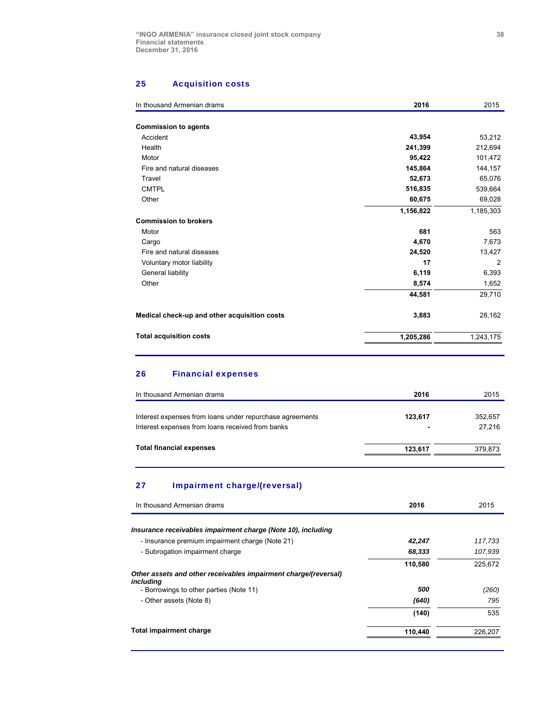# 25 Acquisition costs

| In thousand Armenian drams                   | 2016      | 2015           |
|----------------------------------------------|-----------|----------------|
|                                              |           |                |
| <b>Commission to agents</b>                  |           |                |
| Accident                                     | 43,954    | 53,212         |
| Health                                       | 241,399   | 212,694        |
| Motor                                        | 95,422    | 101,472        |
| Fire and natural diseases                    | 145,864   | 144,157        |
| Travel                                       | 52,673    | 65,076         |
| <b>CMTPL</b>                                 | 516,835   | 539,664        |
| Other                                        | 60,675    | 69,028         |
|                                              | 1,156,822 | 1,185,303      |
| <b>Commission to brokers</b>                 |           |                |
| Motor                                        | 681       | 563            |
| Cargo                                        | 4,670     | 7,673          |
| Fire and natural diseases                    | 24,520    | 13,427         |
| Voluntary motor liability                    | 17        | $\overline{2}$ |
| General liability                            | 6,119     | 6,393          |
| Other                                        | 8,574     | 1,652          |
|                                              | 44,581    | 29,710         |
| Medical check-up and other acquisition costs | 3,883     | 28,162         |
| <b>Total acquisition costs</b>               | 1,205,286 | 1,243,175      |

# 26 Financial expenses

| In thousand Armenian drams                                                                                   | 2016    | 2015              |
|--------------------------------------------------------------------------------------------------------------|---------|-------------------|
| Interest expenses from loans under repurchase agreements<br>Interest expenses from loans received from banks | 123.617 | 352,657<br>27.216 |
| <b>Total financial expenses</b>                                                                              | 123.617 | 379.873           |

# 27 Impairment charge/(reversal)

| 2016    | 2015    |
|---------|---------|
|         |         |
| 42,247  | 117,733 |
| 68,333  | 107.939 |
| 110,580 | 225.672 |
|         |         |
| 500     | (260)   |
| (640)   | 795     |
| (140)   | 535     |
| 110.440 | 226.207 |
|         |         |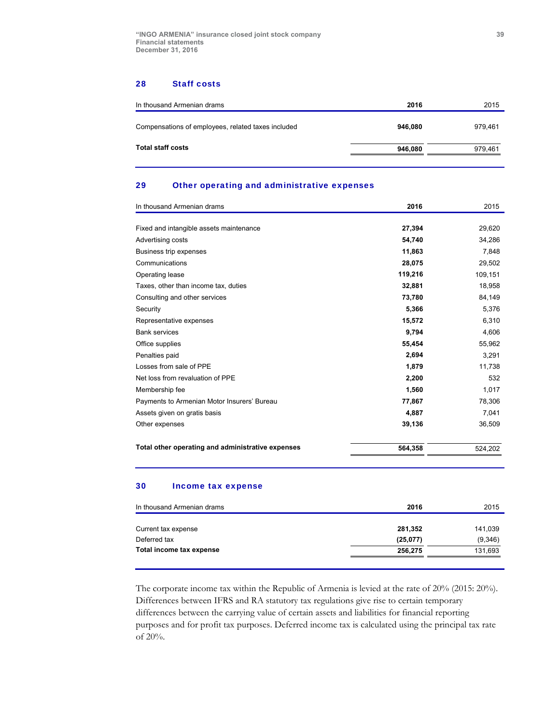#### 28 Staff costs

| In thousand Armenian drams                         | 2016    | 2015    |
|----------------------------------------------------|---------|---------|
| Compensations of employees, related taxes included | 946.080 | 979.461 |
| Total staff costs                                  | 946,080 | 979.461 |

# 29 Other operating and administrative expenses

| In thousand Armenian drams                        | 2016    | 2015    |
|---------------------------------------------------|---------|---------|
|                                                   |         |         |
| Fixed and intangible assets maintenance           | 27,394  | 29,620  |
| Advertising costs                                 | 54.740  | 34,286  |
| Business trip expenses                            | 11,863  | 7,848   |
| Communications                                    | 28,075  | 29,502  |
| Operating lease                                   | 119,216 | 109,151 |
| Taxes, other than income tax, duties              | 32,881  | 18,958  |
| Consulting and other services                     | 73,780  | 84,149  |
| Security                                          | 5,366   | 5,376   |
| Representative expenses                           | 15,572  | 6,310   |
| <b>Bank services</b>                              | 9,794   | 4,606   |
| Office supplies                                   | 55,454  | 55,962  |
| Penalties paid                                    | 2,694   | 3,291   |
| Losses from sale of PPE                           | 1,879   | 11,738  |
| Net loss from revaluation of PPE                  | 2,200   | 532     |
| Membership fee                                    | 1,560   | 1.017   |
| Payments to Armenian Motor Insurers' Bureau       | 77,867  | 78,306  |
| Assets given on gratis basis                      | 4,887   | 7,041   |
| Other expenses                                    | 39,136  | 36,509  |
| Total other operating and administrative expenses | 564,358 | 524,202 |

#### 30 Income tax expense

| In thousand Armenian drams | 2016     | 2015    |
|----------------------------|----------|---------|
| Current tax expense        | 281,352  | 141,039 |
| Deferred tax               | (25,077) | (9,346) |
| Total income tax expense   | 256.275  | 131,693 |
|                            |          |         |

The corporate income tax within the Republic of Armenia is levied at the rate of 20% (2015: 20%). Differences between IFRS and RA statutory tax regulations give rise to certain temporary differences between the carrying value of certain assets and liabilities for financial reporting purposes and for profit tax purposes. Deferred income tax is calculated using the principal tax rate of 20%.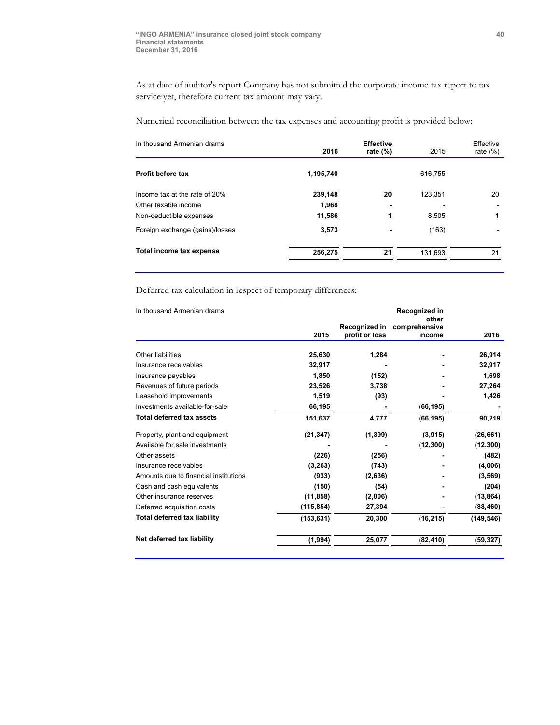As at date of auditor's report Company has not submitted the corporate income tax report to tax service yet, therefore current tax amount may vary.

Numerical reconciliation between the tax expenses and accounting profit is provided below:

| In thousand Armenian drams      | 2016      | <b>Effective</b><br>rate $(\%)$ | 2015    | Effective<br>rate $(\%)$ |
|---------------------------------|-----------|---------------------------------|---------|--------------------------|
| Profit before tax               | 1,195,740 |                                 | 616.755 |                          |
| Income tax at the rate of 20%   | 239,148   | 20                              | 123,351 | 20                       |
| Other taxable income            | 1,968     | $\overline{\phantom{0}}$        |         |                          |
| Non-deductible expenses         | 11,586    | 1                               | 8.505   |                          |
| Foreign exchange (gains)/losses | 3,573     | $\blacksquare$                  | (163)   |                          |
| Total income tax expense        | 256,275   | 21                              | 131.693 | 21                       |

Deferred tax calculation in respect of temporary differences:

| In thousand Armenian drams            | Recognized in |                |                        |            |  |
|---------------------------------------|---------------|----------------|------------------------|------------|--|
|                                       |               | Recognized in  | other<br>comprehensive |            |  |
|                                       | 2015          | profit or loss | income                 | 2016       |  |
| <b>Other liabilities</b>              | 25,630        | 1,284          |                        | 26,914     |  |
| Insurance receivables                 | 32,917        |                |                        | 32,917     |  |
| Insurance payables                    | 1,850         | (152)          |                        | 1,698      |  |
| Revenues of future periods            | 23,526        | 3,738          |                        | 27,264     |  |
| Leasehold improvements                | 1,519         | (93)           |                        | 1,426      |  |
| Investments available-for-sale        | 66,195        |                | (66, 195)              |            |  |
| <b>Total deferred tax assets</b>      | 151,637       | 4,777          | (66, 195)              | 90,219     |  |
| Property, plant and equipment         | (21, 347)     | (1, 399)       | (3,915)                | (26, 661)  |  |
| Available for sale investments        |               |                | (12, 300)              | (12, 300)  |  |
| Other assets                          | (226)         | (256)          |                        | (482)      |  |
| Insurance receivables                 | (3, 263)      | (743)          |                        | (4,006)    |  |
| Amounts due to financial institutions | (933)         | (2,636)        |                        | (3, 569)   |  |
| Cash and cash equivalents             | (150)         | (54)           |                        | (204)      |  |
| Other insurance reserves              | (11, 858)     | (2,006)        |                        | (13, 864)  |  |
| Deferred acquisition costs            | (115, 854)    | 27,394         |                        | (88, 460)  |  |
| <b>Total deferred tax liability</b>   | (153, 631)    | 20,300         | (16, 215)              | (149, 546) |  |
| Net deferred tax liability            | (1,994)       | 25,077         | (82, 410)              | (59, 327)  |  |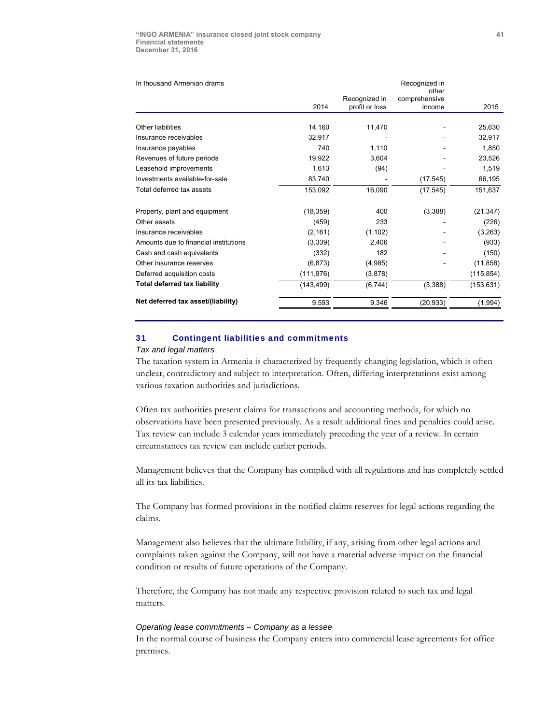| In thousand Armenian drams            |            | Recognized in  |                        |            |  |  |
|---------------------------------------|------------|----------------|------------------------|------------|--|--|
|                                       |            | Recognized in  | other<br>comprehensive |            |  |  |
|                                       | 2014       | profit or loss | income                 | 2015       |  |  |
|                                       |            |                |                        |            |  |  |
| <b>Other liabilities</b>              | 14,160     | 11,470         |                        | 25,630     |  |  |
| Insurance receivables                 | 32,917     |                |                        | 32,917     |  |  |
| Insurance payables                    | 740        | 1,110          |                        | 1,850      |  |  |
| Revenues of future periods            | 19,922     | 3,604          |                        | 23,526     |  |  |
| Leasehold improvements                | 1,613      | (94)           |                        | 1,519      |  |  |
| Investments available-for-sale        | 83,740     |                | (17, 545)              | 66,195     |  |  |
| Total deferred tax assets             | 153,092    | 16,090         | (17, 545)              | 151,637    |  |  |
| Property, plant and equipment         | (18, 359)  | 400            | (3,388)                | (21, 347)  |  |  |
| Other assets                          | (459)      | 233            |                        | (226)      |  |  |
| Insurance receivables                 | (2, 161)   | (1, 102)       |                        | (3,263)    |  |  |
| Amounts due to financial institutions | (3,339)    | 2.406          |                        | (933)      |  |  |
| Cash and cash equivalents             | (332)      | 182            |                        | (150)      |  |  |
| Other insurance reserves              | (6, 873)   | (4,985)        |                        | (11, 858)  |  |  |
| Deferred acquisition costs            | (111, 976) | (3,878)        |                        | (115, 854) |  |  |
| <b>Total deferred tax liability</b>   | (143, 499) | (6,744)        | (3,388)                | (153, 631) |  |  |
| Net deferred tax asset/(liability)    | 9,593      | 9,346          | (20, 933)              | (1,994)    |  |  |

# 31 Contingent liabilities and commitments

#### *Tax and legal matters*

The taxation system in Armenia is characterized by frequently changing legislation, which is often unclear, contradictory and subject to interpretation. Often, differing interpretations exist among various taxation authorities and jurisdictions.

Often tax authorities present claims for transactions and accounting methods, for which no observations have been presented previously. As a result additional fines and penalties could arise. Tax review can include 3 calendar years immediately preceding the year of a review. In certain circumstances tax review can include earlier periods.

Management believes that the Company has complied with all regulations and has completely settled all its tax liabilities.

The Company has formed provisions in the notified claims reserves for legal actions regarding the claims.

Management also believes that the ultimate liability, if any, arising from other legal actions and complaints taken against the Company, will not have a material adverse impact on the financial condition or results of future operations of the Company.

Therefore, the Company has not made any respective provision related to such tax and legal matters.

#### *Operating lease commitments – Company as a lessee*

In the normal course of business the Company enters into commercial lease agreements for office premises.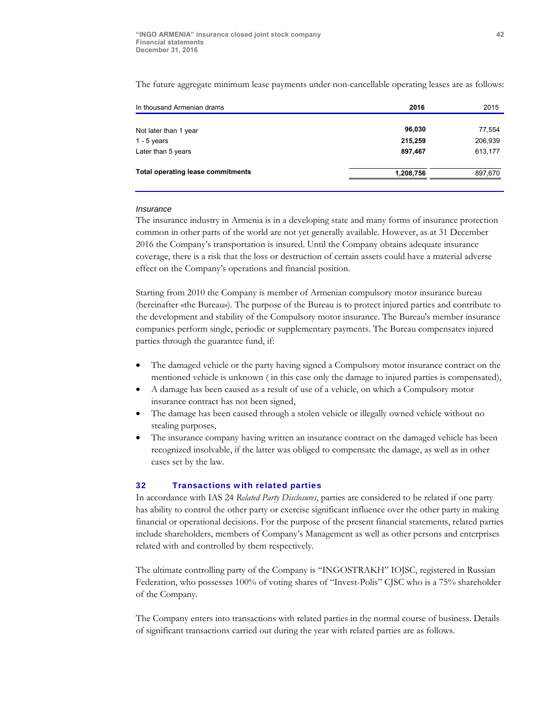The future aggregate minimum lease payments under non-cancellable operating leases are as follows:

| In thousand Armenian drams               | 2016      | 2015    |  |
|------------------------------------------|-----------|---------|--|
|                                          |           |         |  |
| Not later than 1 year                    | 96,030    | 77,554  |  |
| 1 - 5 years                              | 215.259   | 206,939 |  |
| Later than 5 years                       | 897,467   | 613,177 |  |
| <b>Total operating lease commitments</b> | 1,208,756 | 897,670 |  |

#### *Insurance*

The insurance industry in Armenia is in a developing state and many forms of insurance protection common in other parts of the world are not yet generally available. However, as at 31 December 2016 the Company's transportation is insured. Until the Company obtains adequate insurance coverage, there is a risk that the loss or destruction of certain assets could have a material adverse effect on the Company's operations and financial position.

Starting from 2010 the Company is member of Armenian compulsory motor insurance bureau (hereinafter «the Bureau»). The purpose of the Bureau is to protect injured parties and contribute to the development and stability of the Compulsory motor insurance. The Bureau's member insurance companies perform single, periodic or supplementary payments. The Bureau compensates injured parties through the guarantee fund, if:

- The damaged vehicle or the party having signed a Compulsory motor insurance contract on the mentioned vehicle is unknown ( in this case only the damage to injured parties is compensated),
- A damage has been caused as a result of use of a vehicle, on which a Compulsory motor insurance contract has not been signed,
- The damage has been caused through a stolen vehicle or illegally owned vehicle without no stealing purposes,
- The insurance company having written an insurance contract on the damaged vehicle has been recognized insolvable, if the latter was obliged to compensate the damage, as well as in other cases set by the law.

#### 32 Transactions with related parties

In accordance with IAS 24 *Related Party Disclosures*, parties are considered to be related if one party has ability to control the other party or exercise significant influence over the other party in making financial or operational decisions. For the purpose of the present financial statements, related parties include shareholders, members of Company's Management as well as other persons and enterprises related with and controlled by them respectively.

The ultimate controlling party of the Company is "INGOSTRAKH" IOJSC, registered in Russian Federation, who possesses 100% of voting shares of "Invest-Polis" CJSC who is a 75% shareholder of the Company.

The Company enters into transactions with related parties in the normal course of business. Details of significant transactions carried out during the year with related parties are as follows.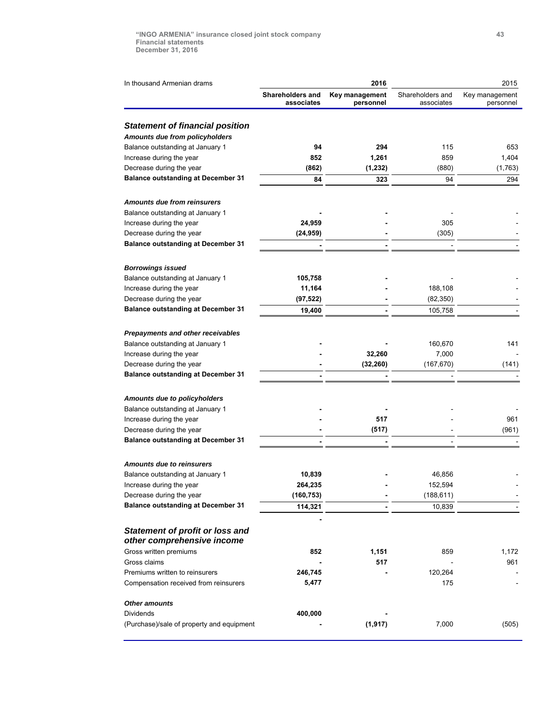| In thousand Armenian drams                                           |                                | 2016                        | 2015                           |                             |  |
|----------------------------------------------------------------------|--------------------------------|-----------------------------|--------------------------------|-----------------------------|--|
|                                                                      | Shareholders and<br>associates | Key management<br>personnel | Shareholders and<br>associates | Key management<br>personnel |  |
| <b>Statement of financial position</b>                               |                                |                             |                                |                             |  |
| Amounts due from policyholders                                       |                                |                             |                                |                             |  |
| Balance outstanding at January 1                                     | 94                             | 294                         | 115                            | 653                         |  |
| Increase during the year                                             | 852                            | 1,261                       | 859                            | 1,404                       |  |
| Decrease during the year                                             | (862)                          | (1, 232)                    | (880)                          | (1,763)                     |  |
| <b>Balance outstanding at December 31</b>                            | 84                             | 323                         | 94                             | 294                         |  |
|                                                                      |                                |                             |                                |                             |  |
| <b>Amounts due from reinsurers</b>                                   |                                |                             |                                |                             |  |
| Balance outstanding at January 1                                     |                                |                             |                                |                             |  |
| Increase during the year                                             | 24,959                         |                             | 305                            |                             |  |
| Decrease during the year                                             | (24, 959)                      |                             | (305)                          |                             |  |
| <b>Balance outstanding at December 31</b>                            |                                |                             |                                |                             |  |
| <b>Borrowings issued</b>                                             |                                |                             |                                |                             |  |
| Balance outstanding at January 1                                     | 105,758                        |                             |                                |                             |  |
| Increase during the year                                             | 11,164                         |                             | 188,108                        |                             |  |
| Decrease during the year                                             | (97, 522)                      |                             | (82, 350)                      |                             |  |
| <b>Balance outstanding at December 31</b>                            | 19,400                         |                             | 105,758                        |                             |  |
|                                                                      |                                |                             |                                |                             |  |
| Prepayments and other receivables                                    |                                |                             |                                |                             |  |
| Balance outstanding at January 1                                     |                                |                             | 160,670                        | 141                         |  |
| Increase during the year                                             |                                | 32,260                      | 7,000                          |                             |  |
| Decrease during the year                                             |                                | (32, 260)                   | (167, 670)                     | (141)                       |  |
| <b>Balance outstanding at December 31</b>                            |                                |                             |                                |                             |  |
| Amounts due to policyholders                                         |                                |                             |                                |                             |  |
| Balance outstanding at January 1                                     |                                |                             |                                |                             |  |
| Increase during the year                                             |                                | 517                         |                                | 961                         |  |
| Decrease during the year                                             |                                | (517)                       |                                | (961)                       |  |
| <b>Balance outstanding at December 31</b>                            |                                |                             |                                |                             |  |
|                                                                      |                                |                             |                                |                             |  |
| <b>Amounts due to reinsurers</b><br>Balance outstanding at January 1 | 10,839                         |                             | 46,856                         |                             |  |
| Increase during the year                                             | 264,235                        |                             | 152,594                        |                             |  |
| Decrease during the year                                             | (160, 753)                     |                             | (188, 611)                     |                             |  |
| <b>Balance outstanding at December 31</b>                            | 114,321                        |                             | 10,839                         |                             |  |
|                                                                      |                                |                             |                                |                             |  |
| <b>Statement of profit or loss and</b><br>other comprehensive income |                                |                             |                                |                             |  |
| Gross written premiums                                               | 852                            | 1,151                       | 859                            | 1,172                       |  |
| Gross claims                                                         |                                | 517                         |                                | 961                         |  |
| Premiums written to reinsurers                                       | 246,745                        |                             | 120,264                        |                             |  |
| Compensation received from reinsurers                                | 5,477                          |                             | 175                            |                             |  |
| <b>Other amounts</b>                                                 |                                |                             |                                |                             |  |
| Dividends                                                            | 400,000                        |                             |                                |                             |  |
| (Purchase)/sale of property and equipment                            |                                | (1, 917)                    | 7,000                          | (505)                       |  |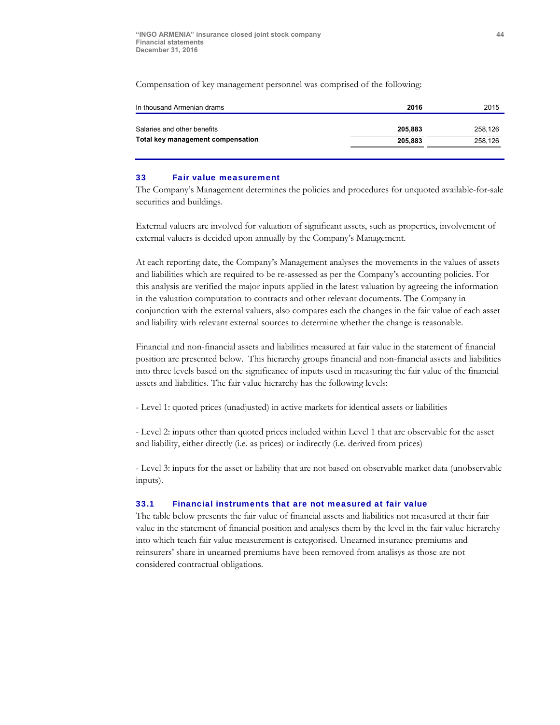Compensation of key management personnel was comprised of the following:

| 2016    | 2015    |
|---------|---------|
| 205.883 | 258.126 |
| 205.883 | 258.126 |
|         |         |

#### 33 Fair value measurement

The Company's Management determines the policies and procedures for unquoted available-for-sale securities and buildings.

External valuers are involved for valuation of significant assets, such as properties, involvement of external valuers is decided upon annually by the Company's Management.

At each reporting date, the Company's Management analyses the movements in the values of assets and liabilities which are required to be re-assessed as per the Company's accounting policies. For this analysis are verified the major inputs applied in the latest valuation by agreeing the information in the valuation computation to contracts and other relevant documents. The Company in conjunction with the external valuers, also compares each the changes in the fair value of each asset and liability with relevant external sources to determine whether the change is reasonable.

Financial and non-financial assets and liabilities measured at fair value in the statement of financial position are presented below. This hierarchy groups financial and non-financial assets and liabilities into three levels based on the significance of inputs used in measuring the fair value of the financial assets and liabilities. The fair value hierarchy has the following levels:

- Level 1: quoted prices (unadjusted) in active markets for identical assets or liabilities

- Level 2: inputs other than quoted prices included within Level 1 that are observable for the asset and liability, either directly (i.e. as prices) or indirectly (i.e. derived from prices)

- Level 3: inputs for the asset or liability that are not based on observable market data (unobservable inputs).

# 33.1 Financial instruments that are not measured at fair value

The table below presents the fair value of financial assets and liabilities not measured at their fair value in the statement of financial position and analyses them by the level in the fair value hierarchy into which teach fair value measurement is categorised. Unearned insurance premiums and reinsurers' share in unearned premiums have been removed from analisys as those are not considered contractual obligations.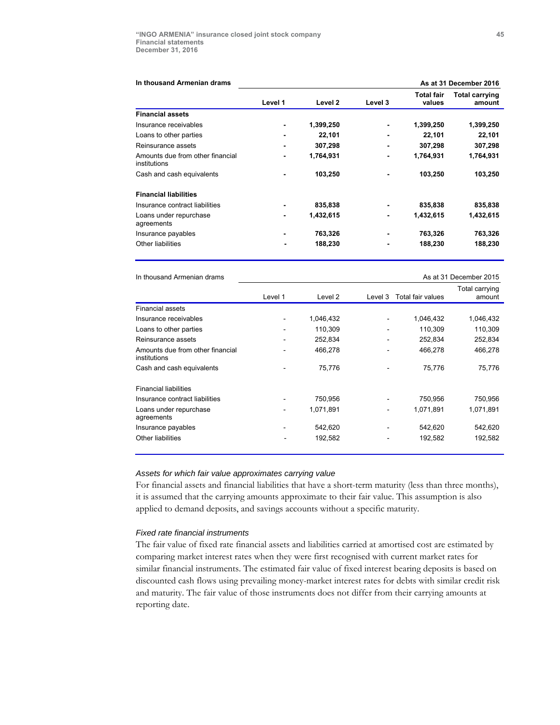| In thousand Armenian drams                       |                |           |         |                             | As at 31 December 2016          |  |  |
|--------------------------------------------------|----------------|-----------|---------|-----------------------------|---------------------------------|--|--|
|                                                  | Level 1        | Level 2   | Level 3 | <b>Total fair</b><br>values | <b>Total carrying</b><br>amount |  |  |
| <b>Financial assets</b>                          |                |           |         |                             |                                 |  |  |
| Insurance receivables                            |                | 1,399,250 |         | 1,399,250                   | 1,399,250                       |  |  |
| Loans to other parties                           |                | 22,101    |         | 22,101                      | 22,101                          |  |  |
| Reinsurance assets                               |                | 307,298   |         | 307,298                     | 307,298                         |  |  |
| Amounts due from other financial<br>institutions |                | 1,764,931 |         | 1,764,931                   | 1,764,931                       |  |  |
| Cash and cash equivalents                        |                | 103,250   |         | 103,250                     | 103,250                         |  |  |
| <b>Financial liabilities</b>                     |                |           |         |                             |                                 |  |  |
| Insurance contract liabilities                   |                | 835,838   |         | 835,838                     | 835,838                         |  |  |
| Loans under repurchase<br>agreements             | $\blacksquare$ | 1,432,615 |         | 1,432,615                   | 1,432,615                       |  |  |
| Insurance payables                               |                | 763,326   |         | 763,326                     | 763,326                         |  |  |
| Other liabilities                                |                | 188,230   |         | 188,230                     | 188,230                         |  |  |

In thousand Armenian drams **As at 31 December 2015** As at 31 December 2015

|                                                  |                          |           |         |                   | Total carrying |
|--------------------------------------------------|--------------------------|-----------|---------|-------------------|----------------|
|                                                  | Level 1                  | Level 2   | Level 3 | Total fair values | amount         |
| <b>Financial assets</b>                          |                          |           |         |                   |                |
| Insurance receivables                            |                          | 1,046,432 |         | 1,046,432         | 1,046,432      |
| Loans to other parties                           | $\overline{\phantom{a}}$ | 110,309   |         | 110,309           | 110,309        |
| Reinsurance assets                               | ٠                        | 252,834   |         | 252,834           | 252,834        |
| Amounts due from other financial<br>institutions |                          | 466.278   |         | 466,278           | 466.278        |
| Cash and cash equivalents                        |                          | 75.776    |         | 75,776            | 75,776         |
| <b>Financial liabilities</b>                     |                          |           |         |                   |                |
| Insurance contract liabilities                   |                          | 750,956   |         | 750,956           | 750,956        |
| Loans under repurchase<br>agreements             |                          | 1,071,891 |         | 1,071,891         | 1,071,891      |
| Insurance payables                               |                          | 542,620   |         | 542,620           | 542,620        |
| Other liabilities                                |                          | 192,582   |         | 192,582           | 192,582        |

### *Assets for which fair value approximates carrying value*

For financial assets and financial liabilities that have a short-term maturity (less than three months), it is assumed that the carrying amounts approximate to their fair value. This assumption is also applied to demand deposits, and savings accounts without a specific maturity.

#### *Fixed rate financial instruments*

The fair value of fixed rate financial assets and liabilities carried at amortised cost are estimated by comparing market interest rates when they were first recognised with current market rates for similar financial instruments. The estimated fair value of fixed interest bearing deposits is based on discounted cash flows using prevailing money-market interest rates for debts with similar credit risk and maturity. The fair value of those instruments does not differ from their carrying amounts at reporting date.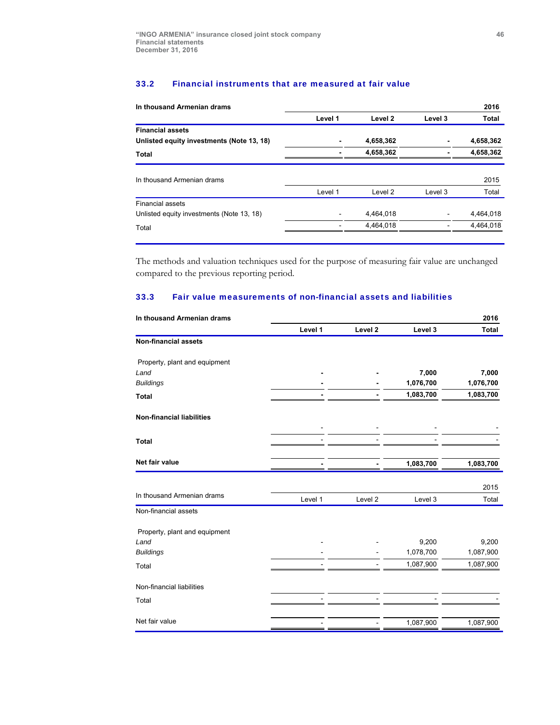# 33.2 Financial instruments that are measured at fair value

| In thousand Armenian drams                |         |           |         | 2016      |
|-------------------------------------------|---------|-----------|---------|-----------|
|                                           | Level 1 | Level 2   | Level 3 | Total     |
| <b>Financial assets</b>                   |         |           |         |           |
| Unlisted equity investments (Note 13, 18) |         | 4,658,362 |         | 4,658,362 |
| Total                                     |         | 4,658,362 |         | 4,658,362 |
| In thousand Armenian drams                |         |           |         | 2015      |
|                                           | Level 1 | Level 2   | Level 3 | Total     |
| <b>Financial assets</b>                   |         |           |         |           |
| Unlisted equity investments (Note 13, 18) |         | 4,464,018 |         | 4,464,018 |
| Total                                     |         | 4,464,018 |         | 4,464,018 |

The methods and valuation techniques used for the purpose of measuring fair value are unchanged compared to the previous reporting period.

# 33.3 Fair value measurements of non-financial assets and liabilities

| In thousand Armenian drams       |         |                    |           | 2016         |
|----------------------------------|---------|--------------------|-----------|--------------|
|                                  | Level 1 | Level 2            | Level 3   | <b>Total</b> |
| <b>Non-financial assets</b>      |         |                    |           |              |
| Property, plant and equipment    |         |                    |           |              |
| Land                             |         |                    | 7,000     | 7,000        |
| <b>Buildings</b>                 |         |                    | 1,076,700 | 1,076,700    |
| <b>Total</b>                     |         |                    | 1,083,700 | 1,083,700    |
| <b>Non-financial liabilities</b> |         |                    |           |              |
| <b>Total</b>                     |         |                    |           |              |
|                                  |         |                    |           |              |
| Net fair value                   |         |                    | 1,083,700 | 1,083,700    |
|                                  |         |                    |           |              |
| In thousand Armenian drams       |         |                    |           | 2015         |
|                                  | Level 1 | Level <sub>2</sub> | Level 3   | Total        |
| Non-financial assets             |         |                    |           |              |
| Property, plant and equipment    |         |                    |           |              |
| Land                             |         |                    | 9,200     | 9,200        |
| <b>Buildings</b>                 |         |                    | 1,078,700 | 1,087,900    |
| Total                            |         |                    | 1,087,900 | 1,087,900    |
| Non-financial liabilities        |         |                    |           |              |
| Total                            |         |                    |           |              |
| Net fair value                   |         |                    | 1,087,900 | 1,087,900    |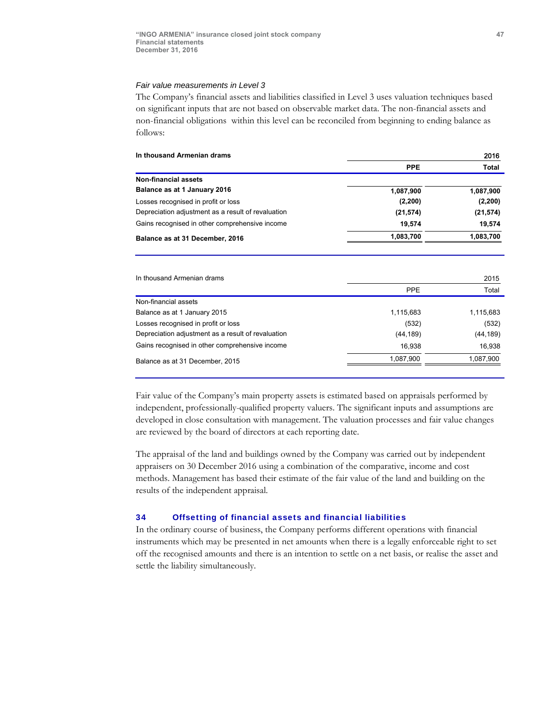### *Fair value measurements in Level 3*

The Company's financial assets and liabilities classified in Level 3 uses valuation techniques based on significant inputs that are not based on observable market data. The non-financial assets and non-financial obligations within this level can be reconciled from beginning to ending balance as follows:

| In thousand Armenian drams                         | 2016       |               |  |  |
|----------------------------------------------------|------------|---------------|--|--|
|                                                    | <b>PPE</b> | Total         |  |  |
| <b>Non-financial assets</b>                        |            |               |  |  |
| Balance as at 1 January 2016                       | 1,087,900  | 1,087,900     |  |  |
| Losses recognised in profit or loss                | (2, 200)   | (2, 200)      |  |  |
| Depreciation adjustment as a result of revaluation | (21, 574)  | (21, 574)     |  |  |
| Gains recognised in other comprehensive income     | 19,574     | 19,574        |  |  |
| Balance as at 31 December, 2016                    | 1,083,700  | 1,083,700     |  |  |
| In thousand Armenian drams                         | <b>PPE</b> | 2015<br>Total |  |  |
| Non-financial assets                               |            |               |  |  |
| Balance as at 1 January 2015                       | 1,115,683  | 1,115,683     |  |  |
| Losses recognised in profit or loss                | (532)      | (532)         |  |  |
| Depreciation adjustment as a result of revaluation | (44, 189)  | (44, 189)     |  |  |
| Gains recognised in other comprehensive income     | 16,938     | 16,938        |  |  |
| Balance as at 31 December, 2015                    | 1,087,900  | 1,087,900     |  |  |
|                                                    |            |               |  |  |

Fair value of the Company's main property assets is estimated based on appraisals performed by independent, professionally-qualified property valuers. The significant inputs and assumptions are developed in close consultation with management. The valuation processes and fair value changes are reviewed by the board of directors at each reporting date.

The appraisal of the land and buildings owned by the Company was carried out by independent appraisers on 30 December 2016 using a combination of the comparative, income and cost methods. Management has based their estimate of the fair value of the land and building on the results of the independent appraisal.

#### 34 Offsetting of financial assets and financial liabilities

In the ordinary course of business, the Company performs different operations with financial instruments which may be presented in net amounts when there is a legally enforceable right to set off the recognised amounts and there is an intention to settle on a net basis, or realise the asset and settle the liability simultaneously.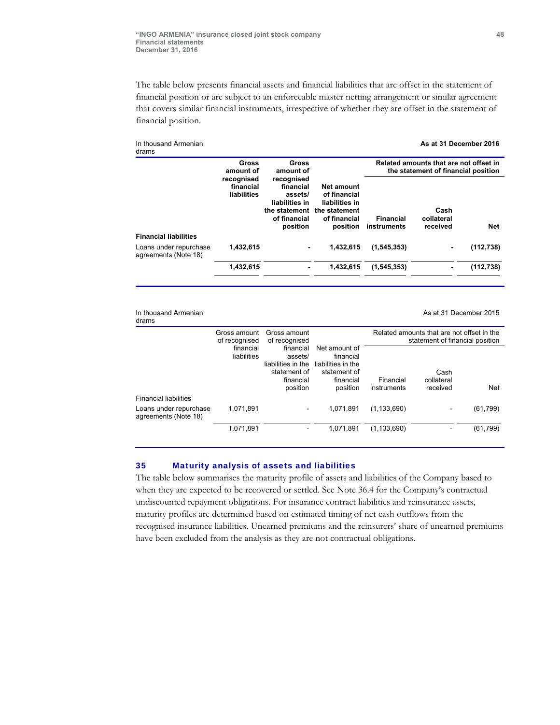The table below presents financial assets and financial liabilities that are offset in the statement of financial position or are subject to an enforceable master netting arrangement or similar agreement that covers similar financial instruments, irrespective of whether they are offset in the statement of financial position.

| In thousand Armenian<br>drams                  |                                        |                                                                                                   |                                                                                           |                                 | As at 31 December 2016                                                        |            |
|------------------------------------------------|----------------------------------------|---------------------------------------------------------------------------------------------------|-------------------------------------------------------------------------------------------|---------------------------------|-------------------------------------------------------------------------------|------------|
|                                                | Gross<br>amount of                     | Gross<br>amount of                                                                                |                                                                                           |                                 | Related amounts that are not offset in<br>the statement of financial position |            |
|                                                | recognised<br>financial<br>liabilities | recognised<br>financial<br>assets/<br>liabilities in<br>the statement<br>of financial<br>position | Net amount<br>of financial<br>liabilities in<br>the statement<br>of financial<br>position | <b>Financial</b><br>instruments | Cash<br>collateral<br>received                                                | Net        |
| <b>Financial liabilities</b>                   |                                        |                                                                                                   |                                                                                           |                                 |                                                                               |            |
| Loans under repurchase<br>agreements (Note 18) | 1,432,615                              | $\blacksquare$                                                                                    | 1,432,615                                                                                 | (1, 545, 353)                   |                                                                               | (112, 738) |
|                                                | 1,432,615                              |                                                                                                   | 1,432,615                                                                                 | (1, 545, 353)                   |                                                                               | (112, 738) |

In thousand Armenian drams

As at 31 December 2015

|                                                | Gross amount<br>of recognised | Gross amount<br>of recognised                                                       |                                                                                           |                          | Related amounts that are not offset in the<br>statement of financial position |            |
|------------------------------------------------|-------------------------------|-------------------------------------------------------------------------------------|-------------------------------------------------------------------------------------------|--------------------------|-------------------------------------------------------------------------------|------------|
|                                                | financial<br>liabilities      | financial<br>assets/<br>liabilities in the<br>statement of<br>financial<br>position | Net amount of<br>financial<br>liabilities in the<br>statement of<br>financial<br>position | Financial<br>instruments | Cash<br>collateral<br>received                                                | <b>Net</b> |
| <b>Financial liabilities</b>                   |                               |                                                                                     |                                                                                           |                          |                                                                               |            |
| Loans under repurchase<br>agreements (Note 18) | 1,071,891                     |                                                                                     | 1,071,891                                                                                 | (1, 133, 690)            |                                                                               | (61, 799)  |
|                                                | 1,071,891                     |                                                                                     | 1,071,891                                                                                 | (1, 133, 690)            |                                                                               | (61, 799)  |

#### 35 Maturity analysis of assets and liabilities

The table below summarises the maturity profile of assets and liabilities of the Company based to when they are expected to be recovered or settled. See Note 36.4 for the Company's contractual undiscounted repayment obligations. For insurance contract liabilities and reinsurance assets, maturity profiles are determined based on estimated timing of net cash outflows from the recognised insurance liabilities. Unearned premiums and the reinsurers' share of unearned premiums have been excluded from the analysis as they are not contractual obligations.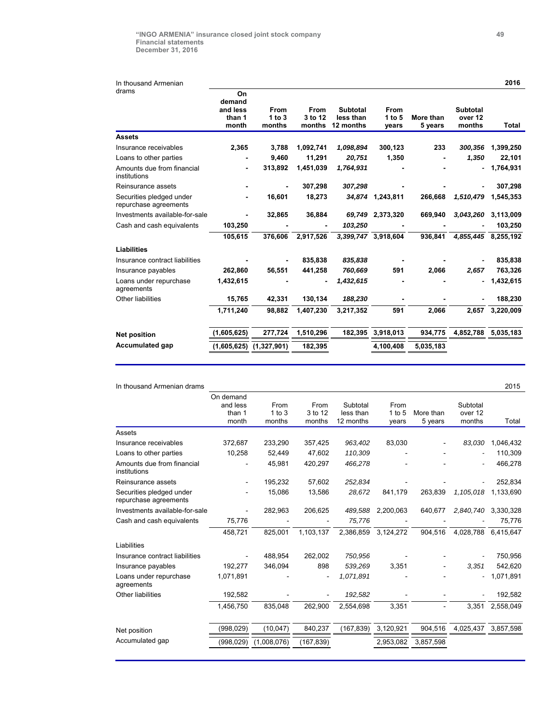| In thousand Armenian                              |                                             |                                 |                                  |                                    |                                  |                      |                               | 2016      |
|---------------------------------------------------|---------------------------------------------|---------------------------------|----------------------------------|------------------------------------|----------------------------------|----------------------|-------------------------------|-----------|
| drams                                             | On<br>demand<br>and less<br>than 1<br>month | <b>From</b><br>1 to 3<br>months | <b>From</b><br>3 to 12<br>months | Subtotal<br>less than<br>12 months | <b>From</b><br>1 to $5$<br>years | More than<br>5 years | Subtotal<br>over 12<br>months | Total     |
| <b>Assets</b>                                     |                                             |                                 |                                  |                                    |                                  |                      |                               |           |
| Insurance receivables                             | 2,365                                       | 3,788                           | 1,092,741                        | 1,098,894                          | 300,123                          | 233                  | 300,356                       | 1,399,250 |
| Loans to other parties                            |                                             | 9,460                           | 11,291                           | 20,751                             | 1,350                            |                      | 1,350                         | 22,101    |
| Amounts due from financial<br>institutions        |                                             | 313,892                         | 1,451,039                        | 1,764,931                          |                                  |                      |                               | 1,764,931 |
| Reinsurance assets                                |                                             |                                 | 307,298                          | 307,298                            |                                  |                      |                               | 307,298   |
| Securities pledged under<br>repurchase agreements |                                             | 16,601                          | 18,273                           |                                    | 34,874 1,243,811                 | 266,668              | 1,510,479                     | 1,545,353 |
| Investments available-for-sale                    |                                             | 32,865                          | 36,884                           | 69,749                             | 2,373,320                        | 669,940              | 3,043,260                     | 3,113,009 |
| Cash and cash equivalents                         | 103,250                                     |                                 |                                  | 103,250                            |                                  |                      |                               | 103,250   |
|                                                   | 105,615                                     | 376,606                         | 2,917,526                        |                                    | 3,399,747 3,918,604              | 936,841              | 4,855,445                     | 8,255,192 |
| Liabilities                                       |                                             |                                 |                                  |                                    |                                  |                      |                               |           |
| Insurance contract liabilities                    |                                             |                                 | 835,838                          | 835,838                            |                                  |                      |                               | 835,838   |
| Insurance payables                                | 262,860                                     | 56,551                          | 441,258                          | 760,669                            | 591                              | 2,066                | 2,657                         | 763,326   |
| Loans under repurchase<br>agreements              | 1,432,615                                   |                                 | $\blacksquare$                   | 1,432,615                          |                                  |                      |                               | 1,432,615 |
| Other liabilities                                 | 15,765                                      | 42,331                          | 130,134                          | 188,230                            |                                  |                      |                               | 188,230   |
|                                                   | 1,711,240                                   | 98,882                          | 1,407,230                        | 3,217,352                          | 591                              | 2,066                | 2,657                         | 3,220,009 |
| <b>Net position</b>                               | (1,605,625)                                 | 277,724                         | 1,510,296                        | 182,395                            | 3,918,013                        | 934,775              | 4,852,788                     | 5,035,183 |
| <b>Accumulated gap</b>                            | (1,605,625)                                 | (1,327,901)                     | 182,395                          |                                    | 4,100,408                        | 5,035,183            |                               |           |

| On demand<br>and less<br>From<br>Subtotal<br>From<br>Subtotal<br>From<br>$1$ to $3$<br>3 to 12<br>less than<br>$1$ to $5$<br>than 1<br>More than<br>over 12<br>months<br>month<br>months<br>12 months<br>5 years<br>months<br>vears<br>Assets<br>83,030<br>372.687<br>233.290<br>357,425<br>963,402<br>83,030<br>Insurance receivables<br>10,258<br>52,449<br>47,602<br>110,309<br>Loans to other parties<br>Amounts due from financial<br>45,981<br>420,297<br>466,278<br>institutions<br>57,602<br>195,232<br>252,834<br>Reinsurance assets<br>Securities pledged under<br>15,086<br>13,586<br>28,672<br>841,179<br>263.839<br>1,105,018<br>repurchase agreements<br>Investments available-for-sale<br>282,963<br>206,625<br>489,588<br>2,200,063<br>640,677<br>2,840,740<br>Cash and cash equivalents<br>75,776<br>75,776<br>458,721<br>825,001<br>1,103,137<br>2,386,859<br>3,124,272<br>904,516<br>4,028,788<br>Liabilities<br>262,002<br>488,954<br>750,956<br>Insurance contract liabilities<br>898<br>192,277<br>346,094<br>539,269<br>3,351<br>3,351<br>Insurance payables<br>1,071,891<br>1,071,891<br>Loans under repurchase<br>agreements | In thousand Armenian drams |         |  |  |  | 2015      |
|-------------------------------------------------------------------------------------------------------------------------------------------------------------------------------------------------------------------------------------------------------------------------------------------------------------------------------------------------------------------------------------------------------------------------------------------------------------------------------------------------------------------------------------------------------------------------------------------------------------------------------------------------------------------------------------------------------------------------------------------------------------------------------------------------------------------------------------------------------------------------------------------------------------------------------------------------------------------------------------------------------------------------------------------------------------------------------------------------------------------------------------------------------|----------------------------|---------|--|--|--|-----------|
|                                                                                                                                                                                                                                                                                                                                                                                                                                                                                                                                                                                                                                                                                                                                                                                                                                                                                                                                                                                                                                                                                                                                                       |                            |         |  |  |  |           |
|                                                                                                                                                                                                                                                                                                                                                                                                                                                                                                                                                                                                                                                                                                                                                                                                                                                                                                                                                                                                                                                                                                                                                       |                            |         |  |  |  |           |
|                                                                                                                                                                                                                                                                                                                                                                                                                                                                                                                                                                                                                                                                                                                                                                                                                                                                                                                                                                                                                                                                                                                                                       |                            |         |  |  |  |           |
|                                                                                                                                                                                                                                                                                                                                                                                                                                                                                                                                                                                                                                                                                                                                                                                                                                                                                                                                                                                                                                                                                                                                                       |                            |         |  |  |  | Total     |
|                                                                                                                                                                                                                                                                                                                                                                                                                                                                                                                                                                                                                                                                                                                                                                                                                                                                                                                                                                                                                                                                                                                                                       |                            |         |  |  |  |           |
|                                                                                                                                                                                                                                                                                                                                                                                                                                                                                                                                                                                                                                                                                                                                                                                                                                                                                                                                                                                                                                                                                                                                                       |                            |         |  |  |  | 1,046,432 |
|                                                                                                                                                                                                                                                                                                                                                                                                                                                                                                                                                                                                                                                                                                                                                                                                                                                                                                                                                                                                                                                                                                                                                       |                            |         |  |  |  | 110,309   |
|                                                                                                                                                                                                                                                                                                                                                                                                                                                                                                                                                                                                                                                                                                                                                                                                                                                                                                                                                                                                                                                                                                                                                       |                            |         |  |  |  | 466,278   |
|                                                                                                                                                                                                                                                                                                                                                                                                                                                                                                                                                                                                                                                                                                                                                                                                                                                                                                                                                                                                                                                                                                                                                       |                            |         |  |  |  | 252,834   |
|                                                                                                                                                                                                                                                                                                                                                                                                                                                                                                                                                                                                                                                                                                                                                                                                                                                                                                                                                                                                                                                                                                                                                       |                            |         |  |  |  | 1,133,690 |
|                                                                                                                                                                                                                                                                                                                                                                                                                                                                                                                                                                                                                                                                                                                                                                                                                                                                                                                                                                                                                                                                                                                                                       |                            |         |  |  |  | 3,330,328 |
|                                                                                                                                                                                                                                                                                                                                                                                                                                                                                                                                                                                                                                                                                                                                                                                                                                                                                                                                                                                                                                                                                                                                                       |                            |         |  |  |  | 75,776    |
|                                                                                                                                                                                                                                                                                                                                                                                                                                                                                                                                                                                                                                                                                                                                                                                                                                                                                                                                                                                                                                                                                                                                                       |                            |         |  |  |  | 6,415,647 |
|                                                                                                                                                                                                                                                                                                                                                                                                                                                                                                                                                                                                                                                                                                                                                                                                                                                                                                                                                                                                                                                                                                                                                       |                            |         |  |  |  |           |
|                                                                                                                                                                                                                                                                                                                                                                                                                                                                                                                                                                                                                                                                                                                                                                                                                                                                                                                                                                                                                                                                                                                                                       |                            |         |  |  |  | 750,956   |
|                                                                                                                                                                                                                                                                                                                                                                                                                                                                                                                                                                                                                                                                                                                                                                                                                                                                                                                                                                                                                                                                                                                                                       |                            |         |  |  |  | 542.620   |
|                                                                                                                                                                                                                                                                                                                                                                                                                                                                                                                                                                                                                                                                                                                                                                                                                                                                                                                                                                                                                                                                                                                                                       |                            |         |  |  |  | 1,071,891 |
| 192,582                                                                                                                                                                                                                                                                                                                                                                                                                                                                                                                                                                                                                                                                                                                                                                                                                                                                                                                                                                                                                                                                                                                                               | Other liabilities          | 192,582 |  |  |  | 192,582   |
| 3,351<br>3,351<br>835.048<br>262,900<br>1,456,750<br>2,554,698                                                                                                                                                                                                                                                                                                                                                                                                                                                                                                                                                                                                                                                                                                                                                                                                                                                                                                                                                                                                                                                                                        |                            |         |  |  |  | 2,558,049 |
| 840,237<br>(167, 839)<br>3,120,921<br>904,516<br>(998, 029)<br>(10,047)<br>4,025,437<br>Net position                                                                                                                                                                                                                                                                                                                                                                                                                                                                                                                                                                                                                                                                                                                                                                                                                                                                                                                                                                                                                                                  |                            |         |  |  |  | 3,857,598 |
| Accumulated gap<br>(1,008,076)<br>(998, 029)<br>(167, 839)<br>2,953,082<br>3,857,598                                                                                                                                                                                                                                                                                                                                                                                                                                                                                                                                                                                                                                                                                                                                                                                                                                                                                                                                                                                                                                                                  |                            |         |  |  |  |           |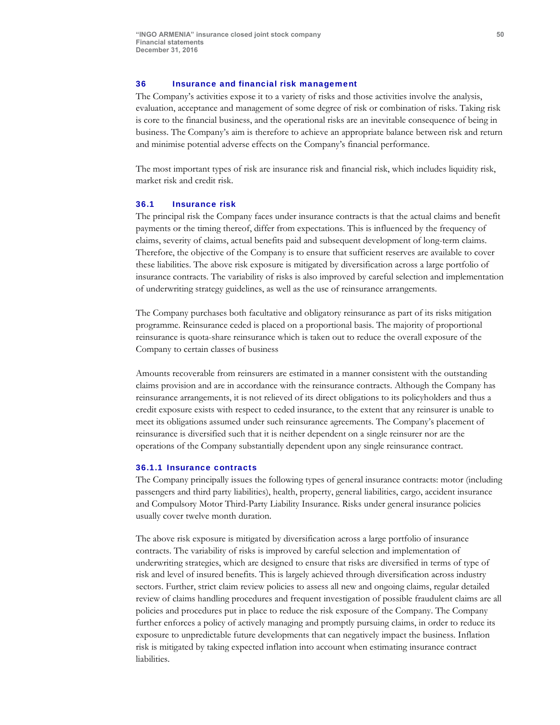### 36 Insurance and financial risk management

The Company's activities expose it to a variety of risks and those activities involve the analysis, evaluation, acceptance and management of some degree of risk or combination of risks. Taking risk is core to the financial business, and the operational risks are an inevitable consequence of being in business. The Company's aim is therefore to achieve an appropriate balance between risk and return and minimise potential adverse effects on the Company's financial performance.

The most important types of risk are insurance risk and financial risk, which includes liquidity risk, market risk and credit risk.

#### 36.1 Insurance risk

The principal risk the Company faces under insurance contracts is that the actual claims and benefit payments or the timing thereof, differ from expectations. This is influenced by the frequency of claims, severity of claims, actual benefits paid and subsequent development of long-term claims. Therefore, the objective of the Company is to ensure that sufficient reserves are available to cover these liabilities. The above risk exposure is mitigated by diversification across a large portfolio of insurance contracts. The variability of risks is also improved by careful selection and implementation of underwriting strategy guidelines, as well as the use of reinsurance arrangements.

The Company purchases both facultative and obligatory reinsurance as part of its risks mitigation programme. Reinsurance ceded is placed on a proportional basis. The majority of proportional reinsurance is quota-share reinsurance which is taken out to reduce the overall exposure of the Company to certain classes of business

Amounts recoverable from reinsurers are estimated in a manner consistent with the outstanding claims provision and are in accordance with the reinsurance contracts. Although the Company has reinsurance arrangements, it is not relieved of its direct obligations to its policyholders and thus a credit exposure exists with respect to ceded insurance, to the extent that any reinsurer is unable to meet its obligations assumed under such reinsurance agreements. The Company's placement of reinsurance is diversified such that it is neither dependent on a single reinsurer nor are the operations of the Company substantially dependent upon any single reinsurance contract.

#### 36.1.1 Insurance contracts

The Company principally issues the following types of general insurance contracts: motor (including passengers and third party liabilities), health, property, general liabilities, cargo, accident insurance and Compulsory Motor Third-Party Liability Insurance. Risks under general insurance policies usually cover twelve month duration.

The above risk exposure is mitigated by diversification across a large portfolio of insurance contracts. The variability of risks is improved by careful selection and implementation of underwriting strategies, which are designed to ensure that risks are diversified in terms of type of risk and level of insured benefits. This is largely achieved through diversification across industry sectors. Further, strict claim review policies to assess all new and ongoing claims, regular detailed review of claims handling procedures and frequent investigation of possible fraudulent claims are all policies and procedures put in place to reduce the risk exposure of the Company. The Company further enforces a policy of actively managing and promptly pursuing claims, in order to reduce its exposure to unpredictable future developments that can negatively impact the business. Inflation risk is mitigated by taking expected inflation into account when estimating insurance contract liabilities.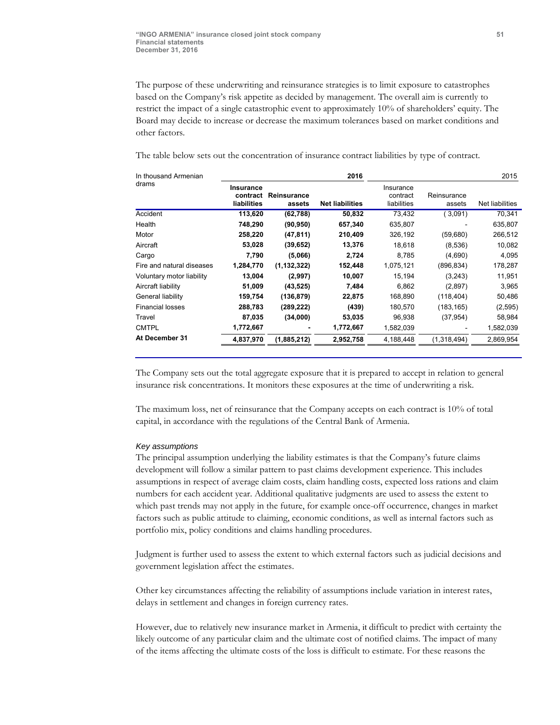The purpose of these underwriting and reinsurance strategies is to limit exposure to catastrophes based on the Company's risk appetite as decided by management. The overall aim is currently to restrict the impact of a single catastrophic event to approximately 10% of shareholders' equity. The Board may decide to increase or decrease the maximum tolerances based on market conditions and other factors.

The table below sets out the concentration of insurance contract liabilities by type of contract.

| In thousand Armenian      |                                      |                       | 2016                   |                                      |                       | 2015            |
|---------------------------|--------------------------------------|-----------------------|------------------------|--------------------------------------|-----------------------|-----------------|
| drams                     | Insurance<br>contract<br>liabilities | Reinsurance<br>assets | <b>Net liabilities</b> | Insurance<br>contract<br>liabilities | Reinsurance<br>assets | Net liabilities |
| Accident                  | 113,620                              | (62, 788)             | 50,832                 | 73.432                               | 3,091                 | 70,341          |
| Health                    | 748,290                              | (90, 950)             | 657,340                | 635,807                              |                       | 635,807         |
| Motor                     | 258,220                              | (47, 811)             | 210,409                | 326,192                              | (59,680)              | 266,512         |
| Aircraft                  | 53,028                               | (39, 652)             | 13,376                 | 18.618                               | (8,536)               | 10,082          |
| Cargo                     | 7,790                                | (5,066)               | 2.724                  | 8.785                                | (4,690)               | 4,095           |
| Fire and natural diseases | 1,284,770                            | (1, 132, 322)         | 152,448                | 1.075.121                            | (896, 834)            | 178,287         |
| Voluntary motor liability | 13,004                               | (2,997)               | 10,007                 | 15.194                               | (3,243)               | 11,951          |
| Aircraft liability        | 51,009                               | (43,525)              | 7,484                  | 6,862                                | (2,897)               | 3,965           |
| General liability         | 159,754                              | (136, 879)            | 22,875                 | 168,890                              | (118, 404)            | 50,486          |
| <b>Financial losses</b>   | 288,783                              | (289, 222)            | (439)                  | 180,570                              | (183, 165)            | (2,595)         |
| Travel                    | 87,035                               | (34,000)              | 53,035                 | 96,938                               | (37,954)              | 58,984          |
| <b>CMTPL</b>              | 1,772,667                            |                       | 1,772,667              | 1,582,039                            |                       | 1,582,039       |
| At December 31            | 4,837,970                            | (1,885,212)           | 2,952,758              | 4,188,448                            | (1,318,494)           | 2,869,954       |

The Company sets out the total aggregate exposure that it is prepared to accept in relation to general insurance risk concentrations. It monitors these exposures at the time of underwriting a risk.

The maximum loss, net of reinsurance that the Company accepts on each contract is 10% of total capital, in accordance with the regulations of the Central Bank of Armenia.

#### *Key assumptions*

The principal assumption underlying the liability estimates is that the Company's future claims development will follow a similar pattern to past claims development experience. This includes assumptions in respect of average claim costs, claim handling costs, expected loss rations and claim numbers for each accident year. Additional qualitative judgments are used to assess the extent to which past trends may not apply in the future, for example once-off occurrence, changes in market factors such as public attitude to claiming, economic conditions, as well as internal factors such as portfolio mix, policy conditions and claims handling procedures.

Judgment is further used to assess the extent to which external factors such as judicial decisions and government legislation affect the estimates.

Other key circumstances affecting the reliability of assumptions include variation in interest rates, delays in settlement and changes in foreign currency rates.

However, due to relatively new insurance market in Armenia, it difficult to predict with certainty the likely outcome of any particular claim and the ultimate cost of notified claims. The impact of many of the items affecting the ultimate costs of the loss is difficult to estimate. For these reasons the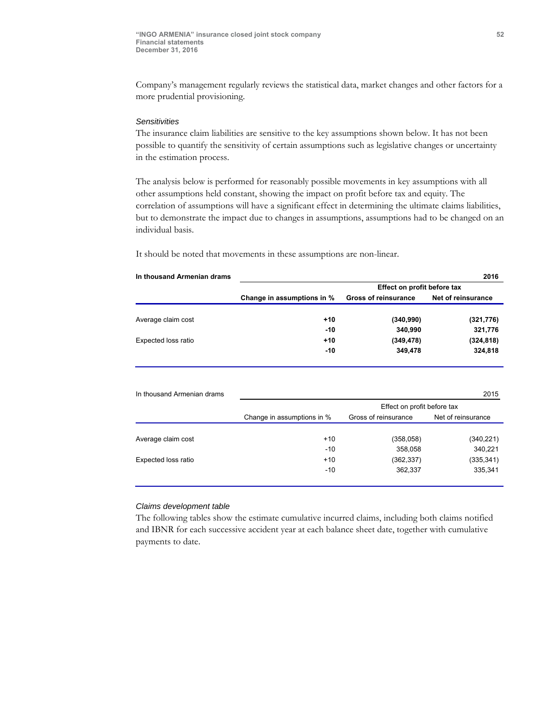Company's management regularly reviews the statistical data, market changes and other factors for a more prudential provisioning.

# *Sensitivities*

The insurance claim liabilities are sensitive to the key assumptions shown below. It has not been possible to quantify the sensitivity of certain assumptions such as legislative changes or uncertainty in the estimation process.

The analysis below is performed for reasonably possible movements in key assumptions with all other assumptions held constant, showing the impact on profit before tax and equity. The correlation of assumptions will have a significant effect in determining the ultimate claims liabilities, but to demonstrate the impact due to changes in assumptions, assumptions had to be changed on an individual basis.

It should be noted that movements in these assumptions are non-linear.

| In thousand Armenian drams |                            |                             | 2016               |
|----------------------------|----------------------------|-----------------------------|--------------------|
|                            |                            | Effect on profit before tax |                    |
|                            | Change in assumptions in % | <b>Gross of reinsurance</b> | Net of reinsurance |
| Average claim cost         | $+10$                      | (340, 990)                  | (321, 776)         |
|                            | $-10$                      | 340,990                     | 321,776            |
| Expected loss ratio        | $+10$                      | (349, 478)                  | (324, 818)         |
|                            | $-10$                      | 349,478                     | 324,818            |
|                            |                            |                             |                    |
|                            |                            |                             |                    |

| In thousand Armenian drams |                            |                             | 2015               |
|----------------------------|----------------------------|-----------------------------|--------------------|
|                            |                            | Effect on profit before tax |                    |
|                            | Change in assumptions in % | Gross of reinsurance        | Net of reinsurance |
|                            |                            |                             |                    |
| Average claim cost         | $+10$                      | (358, 058)                  | (340, 221)         |
|                            | $-10$                      | 358,058                     | 340,221            |
| Expected loss ratio        | $+10$                      | (362, 337)                  | (335, 341)         |
|                            | -10                        | 362,337                     | 335,341            |
|                            |                            |                             |                    |

#### *Claims development table*

The following tables show the estimate cumulative incurred claims, including both claims notified and IBNR for each successive accident year at each balance sheet date, together with cumulative payments to date.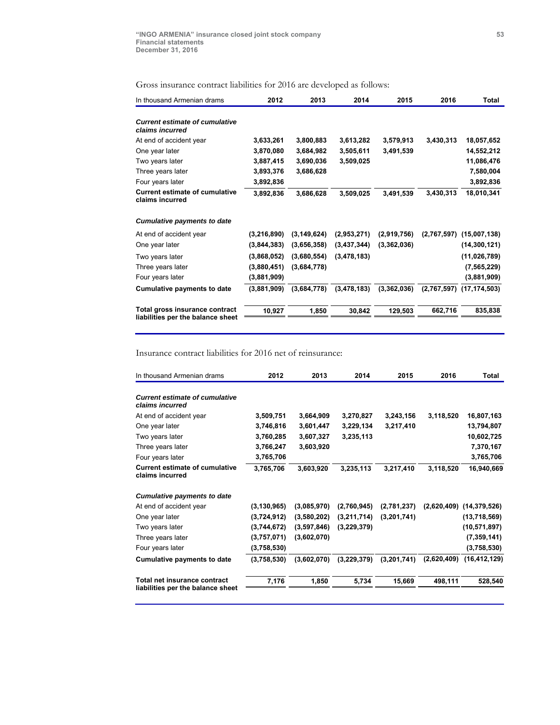Gross insurance contract liabilities for 2016 are developed as follows:

| In thousand Armenian drams                                          | 2012        | 2013          | 2014          | 2015        | 2016        | Total                        |
|---------------------------------------------------------------------|-------------|---------------|---------------|-------------|-------------|------------------------------|
| <b>Current estimate of cumulative</b><br>claims incurred            |             |               |               |             |             |                              |
| At end of accident year                                             | 3,633,261   | 3,800,883     | 3,613,282     | 3,579,913   | 3,430,313   | 18,057,652                   |
| One year later                                                      | 3,870,080   | 3,684,982     | 3,505,611     | 3,491,539   |             | 14,552,212                   |
| Two years later                                                     | 3,887,415   | 3,690,036     | 3,509,025     |             |             | 11,086,476                   |
| Three years later                                                   | 3,893,376   | 3,686,628     |               |             |             | 7,580,004                    |
| Four years later                                                    | 3,892,836   |               |               |             |             | 3,892,836                    |
| <b>Current estimate of cumulative</b><br>claims incurred            | 3,892,836   | 3,686,628     | 3,509,025     | 3,491,539   | 3,430,313   | 18,010,341                   |
| Cumulative payments to date                                         |             |               |               |             |             |                              |
| At end of accident year                                             | (3,216,890) | (3, 149, 624) | (2,953,271)   | (2,919,756) | (2,767,597) | (15,007,138)                 |
| One year later                                                      | (3,844,383) | (3,656,358)   | (3, 437, 344) | (3,362,036) |             | (14, 300, 121)               |
| Two years later                                                     | (3,868,052) | (3,680,554)   | (3,478,183)   |             |             | (11,026,789)                 |
| Three years later                                                   | (3,880,451) | (3,684,778)   |               |             |             | (7, 565, 229)                |
| Four years later                                                    | (3,881,909) |               |               |             |             | (3,881,909)                  |
| <b>Cumulative payments to date</b>                                  | (3,881,909) | (3,684,778)   | (3,478,183)   | (3,362,036) |             | $(2,767,597)$ $(17,174,503)$ |
| Total gross insurance contract<br>liabilities per the balance sheet | 10,927      | 1,850         | 30,842        | 129,503     | 662,716     | 835,838                      |

Insurance contract liabilities for 2016 net of reinsurance:

| In thousand Armenian drams                                        | 2012          | 2013        | 2014        | 2015        | 2016        | <b>Total</b>                 |
|-------------------------------------------------------------------|---------------|-------------|-------------|-------------|-------------|------------------------------|
| <b>Current estimate of cumulative</b><br>claims incurred          |               |             |             |             |             |                              |
| At end of accident year                                           | 3,509,751     | 3,664,909   | 3,270,827   | 3,243,156   | 3,118,520   | 16,807,163                   |
| One year later                                                    | 3,746,816     | 3,601,447   | 3,229,134   | 3,217,410   |             | 13,794,807                   |
| Two years later                                                   | 3,760,285     | 3,607,327   | 3,235,113   |             |             | 10,602,725                   |
| Three years later                                                 | 3,766,247     | 3,603,920   |             |             |             | 7,370,167                    |
| Four years later                                                  | 3,765,706     |             |             |             |             | 3,765,706                    |
| <b>Current estimate of cumulative</b><br>claims incurred          | 3,765,706     | 3,603,920   | 3,235,113   | 3,217,410   | 3,118,520   | 16,940,669                   |
| <b>Cumulative payments to date</b>                                |               |             |             |             |             |                              |
| At end of accident year                                           | (3, 130, 965) | (3,085,970) | (2,760,945) | (2,781,237) |             | $(2,620,409)$ $(14,379,526)$ |
| One year later                                                    | (3,724,912)   | (3,580,202) | (3,211,714) | (3,201,741) |             | (13,718,569)                 |
| Two years later                                                   | (3,744,672)   | (3,597,846) | (3,229,379) |             |             | (10, 571, 897)               |
| Three years later                                                 | (3,757,071)   | (3,602,070) |             |             |             | (7, 359, 141)                |
| Four years later                                                  | (3,758,530)   |             |             |             |             | (3,758,530)                  |
| <b>Cumulative payments to date</b>                                | (3,758,530)   | (3,602,070) | (3,229,379) | (3,201,741) | (2,620,409) | (16, 412, 129)               |
| Total net insurance contract<br>liabilities per the balance sheet | 7,176         | 1,850       | 5,734       | 15,669      | 498,111     | 528,540                      |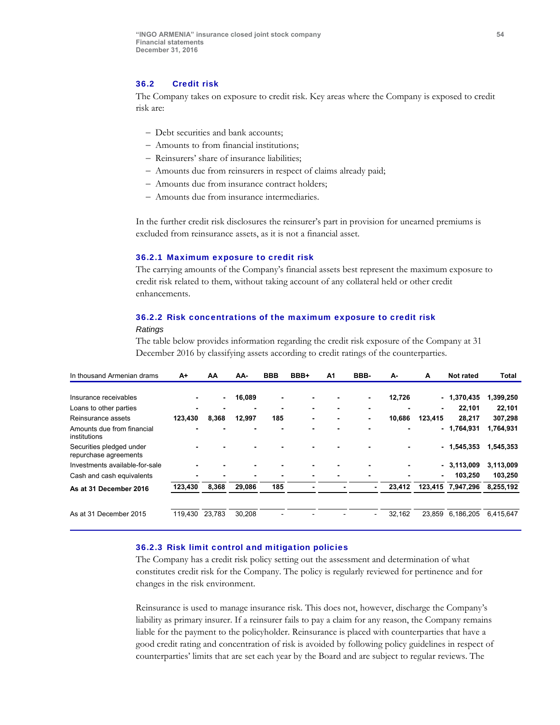#### 36.2 Credit risk

The Company takes on exposure to credit risk. Key areas where the Company is exposed to credit risk are:

- Debt securities and bank accounts;
- Amounts to from financial institutions;
- Reinsurers' share of insurance liabilities;
- Amounts due from reinsurers in respect of claims already paid;
- Amounts due from insurance contract holders;
- Amounts due from insurance intermediaries.

In the further credit risk disclosures the reinsurer's part in provision for unearned premiums is excluded from reinsurance assets, as it is not a financial asset.

#### 36.2.1 Maximum exposure to credit risk

The carrying amounts of the Company's financial assets best represent the maximum exposure to credit risk related to them, without taking account of any collateral held or other credit enhancements.

### 36.2.2 Risk concentrations of the maximum exposure to credit risk *Ratings*

The table below provides information regarding the credit risk exposure of the Company at 31 December 2016 by classifying assets according to credit ratings of the counterparties.

| In thousand Armenian drams                        | A+             | AA             | AA-    | <b>BBB</b>     | BBB+           | A1                       | BBB-                     | А-     | A              | Not rated         | <b>Total</b> |
|---------------------------------------------------|----------------|----------------|--------|----------------|----------------|--------------------------|--------------------------|--------|----------------|-------------------|--------------|
|                                                   |                |                |        |                |                |                          |                          |        |                |                   |              |
| Insurance receivables                             |                | $\blacksquare$ | 16,089 | $\blacksquare$ | $\blacksquare$ |                          | $\blacksquare$           | 12,726 |                | $-1,370,435$      | 1,399,250    |
| Loans to other parties                            | $\blacksquare$ | -              |        | -              | $\blacksquare$ | $\overline{\phantom{0}}$ | -                        |        | $\blacksquare$ | 22.101            | 22,101       |
| Reinsurance assets                                | 123,430        | 8,368          | 12,997 | 185            | $\blacksquare$ | $\blacksquare$           | $\blacksquare$           | 10,686 | 123,415        | 28,217            | 307,298      |
| Amounts due from financial<br>institutions        |                |                |        |                | -              |                          |                          |        |                | $-1,764,931$      | 1,764,931    |
| Securities pledged under<br>repurchase agreements |                |                |        |                |                |                          |                          |        |                | $-1,545,353$      | 1,545,353    |
| Investments available-for-sale                    |                |                |        |                | $\blacksquare$ |                          |                          |        |                | $-3,113,009$      | 3,113,009    |
| Cash and cash equivalents                         |                |                |        |                | $\blacksquare$ |                          |                          |        | $\blacksquare$ | 103,250           | 103,250      |
| As at 31 December 2016                            | 123,430        | 8,368          | 29,086 | 185            |                |                          |                          | 23,412 |                | 123,415 7,947,296 | 8,255,192    |
| As at 31 December 2015                            | 119.430        | 23.783         | 30.208 |                |                |                          | $\overline{\phantom{0}}$ | 32,162 | 23.859         | 6,186,205         | 6,415,647    |
|                                                   |                |                |        |                |                |                          |                          |        |                |                   |              |

#### 36.2.3 Risk limit control and mitigation policies

The Company has a credit risk policy setting out the assessment and determination of what constitutes credit risk for the Company. The policy is regularly reviewed for pertinence and for changes in the risk environment.

Reinsurance is used to manage insurance risk. This does not, however, discharge the Company's liability as primary insurer. If a reinsurer fails to pay a claim for any reason, the Company remains liable for the payment to the policyholder. Reinsurance is placed with counterparties that have a good credit rating and concentration of risk is avoided by following policy guidelines in respect of counterparties' limits that are set each year by the Board and are subject to regular reviews. The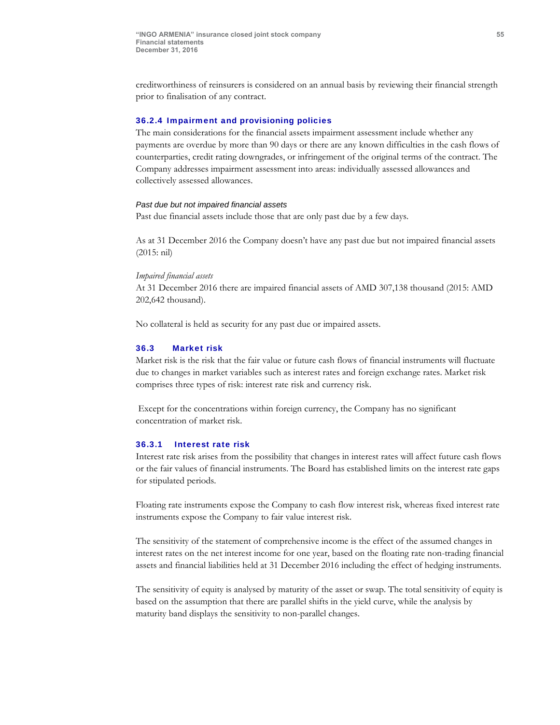creditworthiness of reinsurers is considered on an annual basis by reviewing their financial strength prior to finalisation of any contract.

### 36.2.4 Impairment and provisioning policies

The main considerations for the financial assets impairment assessment include whether any payments are overdue by more than 90 days or there are any known difficulties in the cash flows of counterparties, credit rating downgrades, or infringement of the original terms of the contract. The Company addresses impairment assessment into areas: individually assessed allowances and collectively assessed allowances.

#### *Past due but not impaired financial assets*

Past due financial assets include those that are only past due by a few days.

As at 31 December 2016 the Company doesn't have any past due but not impaired financial assets (2015: nil)

#### *Impaired financial assets*

At 31 December 2016 there are impaired financial assets of AMD 307,138 thousand (2015: AMD 202,642 thousand).

No collateral is held as security for any past due or impaired assets.

### 36.3 Market risk

Market risk is the risk that the fair value or future cash flows of financial instruments will fluctuate due to changes in market variables such as interest rates and foreign exchange rates. Market risk comprises three types of risk: interest rate risk and currency risk.

 Except for the concentrations within foreign currency, the Company has no significant concentration of market risk.

#### 36.3.1 Interest rate risk

Interest rate risk arises from the possibility that changes in interest rates will affect future cash flows or the fair values of financial instruments. The Board has established limits on the interest rate gaps for stipulated periods.

Floating rate instruments expose the Company to cash flow interest risk, whereas fixed interest rate instruments expose the Company to fair value interest risk.

The sensitivity of the statement of comprehensive income is the effect of the assumed changes in interest rates on the net interest income for one year, based on the floating rate non-trading financial assets and financial liabilities held at 31 December 2016 including the effect of hedging instruments.

The sensitivity of equity is analysed by maturity of the asset or swap. The total sensitivity of equity is based on the assumption that there are parallel shifts in the yield curve, while the analysis by maturity band displays the sensitivity to non-parallel changes.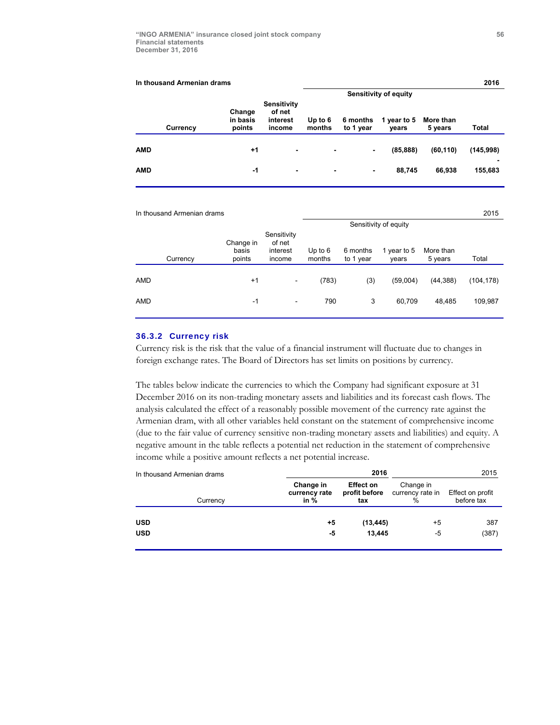| In thousand Armenian drams   |                                             |                     |                       |                      |                              | 2016      |
|------------------------------|---------------------------------------------|---------------------|-----------------------|----------------------|------------------------------|-----------|
|                              |                                             |                     |                       |                      |                              |           |
| Change<br>in basis<br>points | Sensitivity<br>of net<br>interest<br>income | Up to $6$<br>months | 6 months<br>to 1 year | 1 year to 5<br>vears | More than<br>5 years         | Total     |
| $+1$                         | $\blacksquare$                              | $\blacksquare$      | -                     | (85, 888)            | (60, 110)                    | (145,998) |
| -1                           | $\blacksquare$                              | $\blacksquare$      | $\blacksquare$        | 88,745               | 66.938                       | 155,683   |
|                              |                                             |                     |                       |                      | <b>Sensitivity of equity</b> |           |

| 2015                          |
|-------------------------------|
|                               |
| More than<br>Total<br>5 years |
| (44, 388)<br>(104, 178)       |
| 48.485<br>109,987             |
|                               |

#### 36.3.2 Currency risk

Currency risk is the risk that the value of a financial instrument will fluctuate due to changes in foreign exchange rates. The Board of Directors has set limits on positions by currency.

The tables below indicate the currencies to which the Company had significant exposure at 31 December 2016 on its non-trading monetary assets and liabilities and its forecast cash flows. The analysis calculated the effect of a reasonably possible movement of the currency rate against the Armenian dram, with all other variables held constant on the statement of comprehensive income (due to the fair value of currency sensitive non-trading monetary assets and liabilities) and equity. A negative amount in the table reflects a potential net reduction in the statement of comprehensive income while a positive amount reflects a net potential increase.

| In thousand Armenian drams |                                    | 2015                                     |                                    |                                |
|----------------------------|------------------------------------|------------------------------------------|------------------------------------|--------------------------------|
| Currency                   | Change in<br>currency rate<br>in % | <b>Effect on</b><br>profit before<br>tax | Change in<br>currency rate in<br>% | Effect on profit<br>before tax |
| <b>USD</b>                 | $+5$                               | (13, 445)                                | +5                                 | 387                            |
| <b>USD</b>                 | -5                                 | 13.445                                   | -5                                 | (387)                          |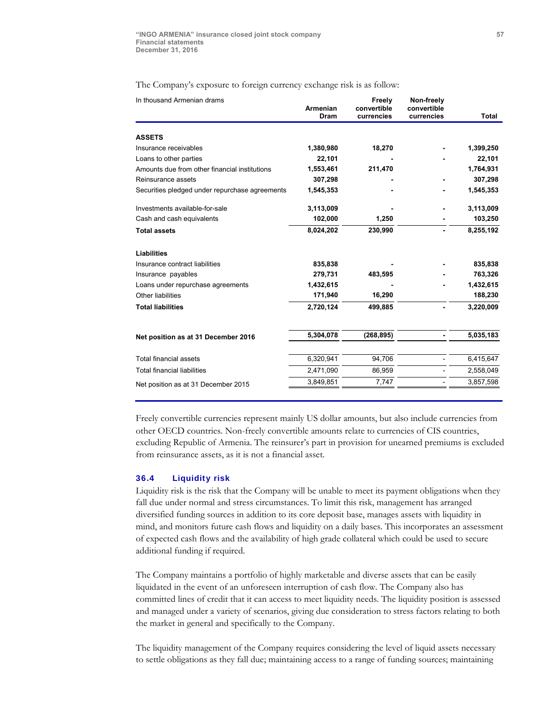The Company's exposure to foreign currency exchange risk is as follow:

| In thousand Armenian drams                     | Armenian<br><b>Dram</b> | Freely<br>convertible<br>currencies | Non-freely<br>convertible<br>currencies | Total     |
|------------------------------------------------|-------------------------|-------------------------------------|-----------------------------------------|-----------|
|                                                |                         |                                     |                                         |           |
| <b>ASSETS</b>                                  |                         |                                     |                                         |           |
| Insurance receivables                          | 1,380,980               | 18,270                              |                                         | 1,399,250 |
| Loans to other parties                         | 22,101                  |                                     |                                         | 22,101    |
| Amounts due from other financial institutions  | 1,553,461               | 211,470                             |                                         | 1,764,931 |
| Reinsurance assets                             | 307,298                 |                                     |                                         | 307,298   |
| Securities pledged under repurchase agreements | 1,545,353               |                                     |                                         | 1,545,353 |
| Investments available-for-sale                 | 3,113,009               |                                     |                                         | 3,113,009 |
| Cash and cash equivalents                      | 102,000                 | 1,250                               |                                         | 103,250   |
| <b>Total assets</b>                            | 8,024,202               | 230,990                             |                                         | 8,255,192 |
| <b>Liabilities</b>                             |                         |                                     |                                         |           |
| Insurance contract liabilities                 | 835,838                 |                                     |                                         | 835,838   |
| Insurance payables                             | 279,731                 | 483,595                             |                                         | 763,326   |
| Loans under repurchase agreements              | 1,432,615               |                                     |                                         | 1,432,615 |
| Other liabilities                              | 171,940                 | 16,290                              |                                         | 188,230   |
| <b>Total liabilities</b>                       | 2,720,124               | 499,885                             |                                         | 3,220,009 |
|                                                | 5,304,078               | (268, 895)                          |                                         | 5,035,183 |
| Net position as at 31 December 2016            |                         |                                     |                                         |           |
| <b>Total financial assets</b>                  | 6,320,941               | 94,706                              |                                         | 6,415,647 |
| <b>Total financial liabilities</b>             | 2,471,090               | 86,959                              |                                         | 2,558,049 |
| Net position as at 31 December 2015            | 3,849,851               | 7,747                               |                                         | 3,857,598 |

Freely convertible currencies represent mainly US dollar amounts, but also include currencies from other OECD countries. Non-freely convertible amounts relate to currencies of CIS countries, excluding Republic of Armenia. The reinsurer's part in provision for unearned premiums is excluded from reinsurance assets, as it is not a financial asset.

#### 36.4 Liquidity risk

Liquidity risk is the risk that the Company will be unable to meet its payment obligations when they fall due under normal and stress circumstances. To limit this risk, management has arranged diversified funding sources in addition to its core deposit base, manages assets with liquidity in mind, and monitors future cash flows and liquidity on a daily bases. This incorporates an assessment of expected cash flows and the availability of high grade collateral which could be used to secure additional funding if required.

The Company maintains a portfolio of highly marketable and diverse assets that can be easily liquidated in the event of an unforeseen interruption of cash flow. The Company also has committed lines of credit that it can access to meet liquidity needs. The liquidity position is assessed and managed under a variety of scenarios, giving due consideration to stress factors relating to both the market in general and specifically to the Company.

The liquidity management of the Company requires considering the level of liquid assets necessary to settle obligations as they fall due; maintaining access to a range of funding sources; maintaining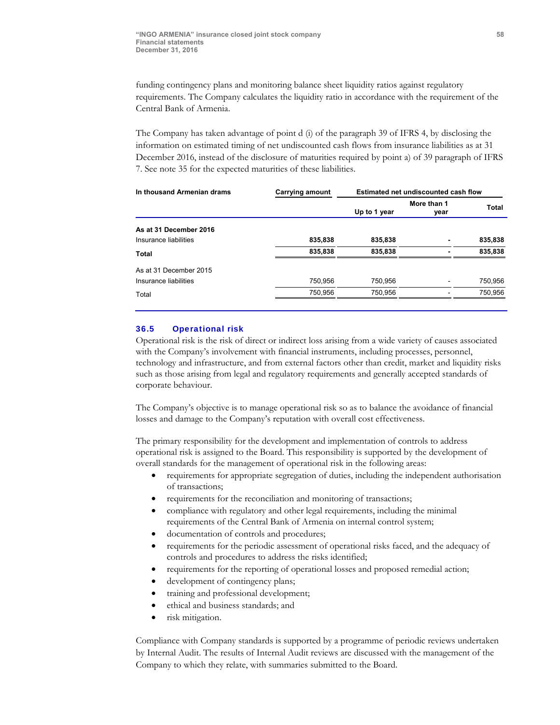funding contingency plans and monitoring balance sheet liquidity ratios against regulatory requirements. The Company calculates the liquidity ratio in accordance with the requirement of the Central Bank of Armenia.

The Company has taken advantage of point d (i) of the paragraph 39 of IFRS 4, by disclosing the information on estimated timing of net undiscounted cash flows from insurance liabilities as at 31 December 2016, instead of the disclosure of maturities required by point a) of 39 paragraph of IFRS 7. See note 35 for the expected maturities of these liabilities.

| In thousand Armenian drams | <b>Carrying amount</b> | Estimated net undiscounted cash flow |                     |         |
|----------------------------|------------------------|--------------------------------------|---------------------|---------|
|                            |                        | Up to 1 year                         | More than 1<br>year | Total   |
| As at 31 December 2016     |                        |                                      |                     |         |
| Insurance liabilities      | 835,838                | 835,838                              |                     | 835,838 |
| Total                      | 835,838                | 835,838                              |                     | 835,838 |
| As at 31 December 2015     |                        |                                      |                     |         |
| Insurance liabilities      | 750,956                | 750,956                              |                     | 750,956 |
| Total                      | 750,956                | 750,956                              |                     | 750,956 |

### 36.5 Operational risk

Operational risk is the risk of direct or indirect loss arising from a wide variety of causes associated with the Company's involvement with financial instruments, including processes, personnel, technology and infrastructure, and from external factors other than credit, market and liquidity risks such as those arising from legal and regulatory requirements and generally accepted standards of corporate behaviour.

The Company's objective is to manage operational risk so as to balance the avoidance of financial losses and damage to the Company's reputation with overall cost effectiveness.

The primary responsibility for the development and implementation of controls to address operational risk is assigned to the Board. This responsibility is supported by the development of overall standards for the management of operational risk in the following areas:

- requirements for appropriate segregation of duties, including the independent authorisation of transactions;
- requirements for the reconciliation and monitoring of transactions;
- compliance with regulatory and other legal requirements, including the minimal requirements of the Central Bank of Armenia on internal control system;
- documentation of controls and procedures;
- requirements for the periodic assessment of operational risks faced, and the adequacy of controls and procedures to address the risks identified;
- requirements for the reporting of operational losses and proposed remedial action;
- development of contingency plans;
- training and professional development;
- ethical and business standards; and
- risk mitigation.

Compliance with Company standards is supported by a programme of periodic reviews undertaken by Internal Audit. The results of Internal Audit reviews are discussed with the management of the Company to which they relate, with summaries submitted to the Board.